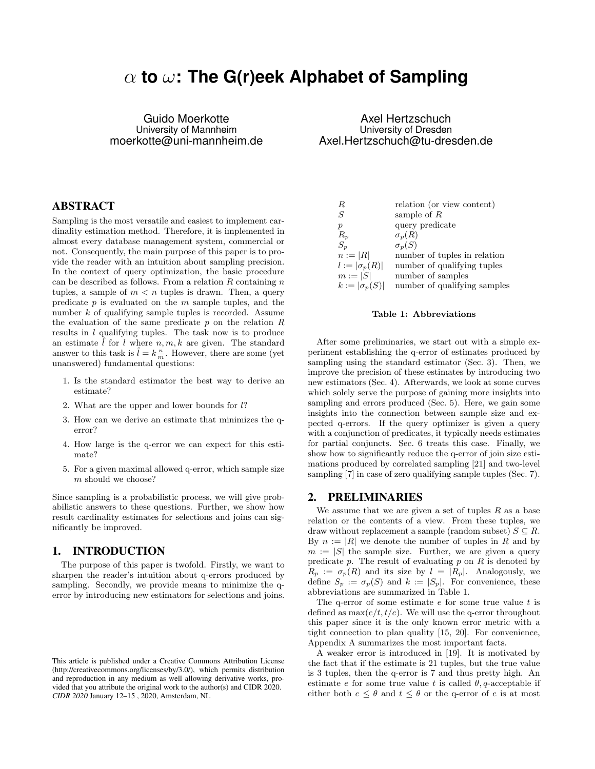# α **to** ω**: The G(r)eek Alphabet of Sampling**

Guido Moerkotte University of Mannheim moerkotte@uni-mannheim.de

# ABSTRACT

Sampling is the most versatile and easiest to implement cardinality estimation method. Therefore, it is implemented in almost every database management system, commercial or not. Consequently, the main purpose of this paper is to provide the reader with an intuition about sampling precision. In the context of query optimization, the basic procedure can be described as follows. From a relation  $R$  containing  $n$ tuples, a sample of  $m < n$  tuples is drawn. Then, a query predicate  $p$  is evaluated on the  $m$  sample tuples, and the number k of qualifying sample tuples is recorded. Assume the evaluation of the same predicate  $p$  on the relation  $R$ results in l qualifying tuples. The task now is to produce an estimate  $l$  for  $l$  where  $n, m, k$  are given. The standard answer to this task is  $\hat{l} = k \frac{n}{m}$ . However, there are some (yet unanswered) fundamental questions:

- 1. Is the standard estimator the best way to derive an estimate?
- 2. What are the upper and lower bounds for l?
- 3. How can we derive an estimate that minimizes the qerror?
- 4. How large is the q-error we can expect for this estimate?
- 5. For a given maximal allowed q-error, which sample size m should we choose?

Since sampling is a probabilistic process, we will give probabilistic answers to these questions. Further, we show how result cardinality estimates for selections and joins can significantly be improved.

### 1. INTRODUCTION

The purpose of this paper is twofold. Firstly, we want to sharpen the reader's intuition about q-errors produced by sampling. Secondly, we provide means to minimize the qerror by introducing new estimators for selections and joins.

Axel Hertzschuch University of Dresden Axel.Hertzschuch@tu-dresden.de

| $\boldsymbol{R}$     | relation (or view content)   |
|----------------------|------------------------------|
| S                    | sample of $R$                |
| $\boldsymbol{p}$     | query predicate              |
| $R_p$                | $\sigma_p(R)$                |
| $S_n$                | $\sigma_n(S)$                |
| $n :=  R $           | number of tuples in relation |
| $l :=  \sigma_p(R) $ | number of qualifying tuples  |
| $m :=  S $           | number of samples            |
| $k :=  \sigma_p(S) $ | number of qualifying samples |

#### Table 1: Abbreviations

After some preliminaries, we start out with a simple experiment establishing the q-error of estimates produced by sampling using the standard estimator (Sec. 3). Then, we improve the precision of these estimates by introducing two new estimators (Sec. 4). Afterwards, we look at some curves which solely serve the purpose of gaining more insights into sampling and errors produced (Sec. 5). Here, we gain some insights into the connection between sample size and expected q-errors. If the query optimizer is given a query with a conjunction of predicates, it typically needs estimates for partial conjuncts. Sec. 6 treats this case. Finally, we show how to significantly reduce the q-error of join size estimations produced by correlated sampling [21] and two-level sampling [7] in case of zero qualifying sample tuples (Sec. 7).

#### 2. PRELIMINARIES

We assume that we are given a set of tuples  $R$  as a base relation or the contents of a view. From these tuples, we draw without replacement a sample (random subset)  $S \subseteq R$ . By  $n := |R|$  we denote the number of tuples in R and by  $m := |S|$  the sample size. Further, we are given a query predicate  $p$ . The result of evaluating  $p$  on  $R$  is denoted by  $R_p := \sigma_p(R)$  and its size by  $l = |R_p|$ . Analogously, we define  $S_p := \sigma_p(S)$  and  $k := |S_p|$ . For convenience, these abbreviations are summarized in Table 1.

The q-error of some estimate  $e$  for some true value  $t$  is defined as  $\max(e/t, t/e)$ . We will use the q-error throughout this paper since it is the only known error metric with a tight connection to plan quality [15, 20]. For convenience, Appendix A summarizes the most important facts.

A weaker error is introduced in [19]. It is motivated by the fact that if the estimate is 21 tuples, but the true value is 3 tuples, then the q-error is 7 and thus pretty high. An estimate e for some true value t is called  $\theta$ , q-acceptable if either both  $e \leq \theta$  and  $t \leq \theta$  or the q-error of e is at most

This article is published under a Creative Commons Attribution License (http://creativecommons.org/licenses/by/3.0/), which permits distribution and reproduction in any medium as well allowing derivative works, provided that you attribute the original work to the author(s) and CIDR 2020. *CIDR 2020* January 12–15 , 2020, Amsterdam, NL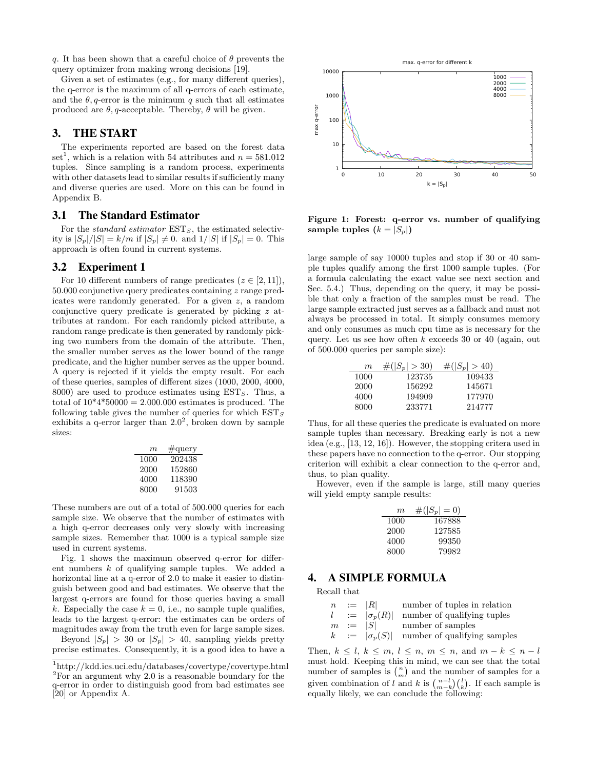q. It has been shown that a careful choice of  $\theta$  prevents the query optimizer from making wrong decisions [19].

Given a set of estimates (e.g., for many different queries), the q-error is the maximum of all q-errors of each estimate, and the  $\theta$ , q-error is the minimum q such that all estimates produced are  $\theta$ , q-acceptable. Thereby,  $\theta$  will be given.

# 3. THE START

The experiments reported are based on the forest data set<sup>1</sup>, which is a relation with 54 attributes and  $n = 581.012$ tuples. Since sampling is a random process, experiments with other datasets lead to similar results if sufficiently many and diverse queries are used. More on this can be found in Appendix B.

#### 3.1 The Standard Estimator

For the standard estimator  $EST_S$ , the estimated selectivity is  $|S_p|/|S| = k/m$  if  $|S_p| \neq 0$ . and  $1/|S|$  if  $|S_p| = 0$ . This approach is often found in current systems.

### 3.2 Experiment 1

For 10 different numbers of range predicates  $(z \in [2, 11]),$ 50.000 conjunctive query predicates containing z range predicates were randomly generated. For a given z, a random conjunctive query predicate is generated by picking z attributes at random. For each randomly picked attribute, a random range predicate is then generated by randomly picking two numbers from the domain of the attribute. Then, the smaller number serves as the lower bound of the range predicate, and the higher number serves as the upper bound. A query is rejected if it yields the empty result. For each of these queries, samples of different sizes (1000, 2000, 4000, 8000) are used to produce estimates using  $EST_S$ . Thus, a total of  $10*4*50000 = 2.000.000$  estimates is produced. The following table gives the number of queries for which  $EST_S$ exhibits a q-error larger than  $2.0^2$ , broken down by sample sizes:

| m    | $\#\text{query}$ |
|------|------------------|
| 1000 | 202438           |
| 2000 | 152860           |
| 4000 | 118390           |
| 8000 | 91503            |

These numbers are out of a total of 500.000 queries for each sample size. We observe that the number of estimates with a high q-error decreases only very slowly with increasing sample sizes. Remember that 1000 is a typical sample size used in current systems.

Fig. 1 shows the maximum observed q-error for different numbers k of qualifying sample tuples. We added a horizontal line at a q-error of 2.0 to make it easier to distinguish between good and bad estimates. We observe that the largest q-errors are found for those queries having a small k. Especially the case  $k = 0$ , i.e., no sample tuple qualifies, leads to the largest q-error: the estimates can be orders of magnitudes away from the truth even for large sample sizes.

Beyond  $|S_p| > 30$  or  $|S_p| > 40$ , sampling yields pretty precise estimates. Consequently, it is a good idea to have a



Figure 1: Forest: q-error vs. number of qualifying sample tuples  $(k = |S_p|)$ 

large sample of say 10000 tuples and stop if 30 or 40 sample tuples qualify among the first 1000 sample tuples. (For a formula calculating the exact value see next section and Sec. 5.4.) Thus, depending on the query, it may be possible that only a fraction of the samples must be read. The large sample extracted just serves as a fallback and must not always be processed in total. It simply consumes memory and only consumes as much cpu time as is necessary for the query. Let us see how often  $k$  exceeds 30 or 40 (again, out of 500.000 queries per sample size):

| m    | $\#( S_p  > 30)$ | $#( S_p  > 40)$ |
|------|------------------|-----------------|
| 1000 | 123735           | 109433          |
| 2000 | 156292           | 145671          |
| 4000 | 194909           | 177970          |
| 8000 | 233771           | 214777          |

Thus, for all these queries the predicate is evaluated on more sample tuples than necessary. Breaking early is not a new idea (e.g., [13, 12, 16]). However, the stopping critera used in these papers have no connection to the q-error. Our stopping criterion will exhibit a clear connection to the q-error and, thus, to plan quality.

However, even if the sample is large, still many queries will yield empty sample results:

| m    | $\#( S_p =0)$ |
|------|---------------|
| 1000 | 167888        |
| 2000 | 127585        |
| 4000 | 99350         |
| 8000 | 79982         |

# 4. A SIMPLE FORMULA

Recall that

| $\boldsymbol{n}$ | $:=$ $ R $           | number of tuples in relation |
|------------------|----------------------|------------------------------|
|                  | $l :=  \sigma_n(R) $ | number of qualifying tuples  |
|                  | $m :=  S $           | number of samples            |
|                  | $k :=  \sigma_n(S) $ | number of qualifying samples |

Then,  $k \leq l, k \leq m, l \leq n, m \leq n$ , and  $m - k \leq n - l$ must hold. Keeping this in mind, we can see that the total number of samples is  $\binom{n}{m}$  and the number of samples for a given combination of l and k is  $\binom{n-l}{m-k}\binom{l}{k}$ . If each sample is equally likely, we can conclude the following:

<sup>1</sup>http://kdd.ics.uci.edu/databases/covertype/covertype.html  $2F$ For an argument why 2.0 is a reasonable boundary for the q-error in order to distinguish good from bad estimates see [20] or Appendix A.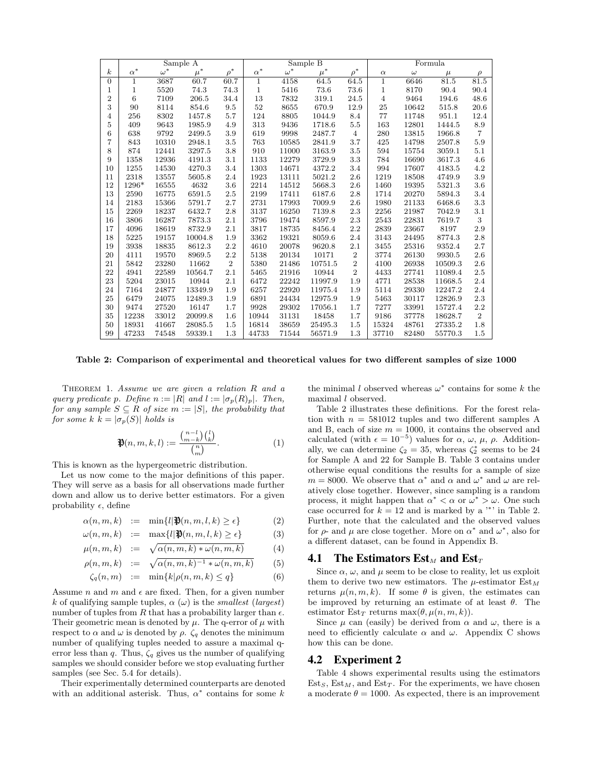|                  |              |            | Sample A |                | Sample B   |            |         |                | Formula        |          |         |                |
|------------------|--------------|------------|----------|----------------|------------|------------|---------|----------------|----------------|----------|---------|----------------|
| $\boldsymbol{k}$ | $\alpha^*$   | $\omega^*$ | $\mu^*$  | $\rho^*$       | $\alpha^*$ | $\omega^*$ | $\mu^*$ | $\rho^*$       | $\alpha$       | $\omega$ | $\mu$   | $\rho$         |
| $\overline{0}$   | $\mathbf{1}$ | 3687       | 60.7     | 60.7           | 1          | 4158       | 64.5    | 64.5           | $\mathbf 1$    | 6646     | 81.5    | 81.5           |
| 1                | 1            | 5520       | 74.3     | 74.3           | 1          | 5416       | 73.6    | 73.6           | $\mathbf 1$    | 8170     | 90.4    | 90.4           |
| $\overline{2}$   | 6            | 7109       | 206.5    | 34.4           | 13         | 7832       | 319.1   | 24.5           | $\overline{4}$ | 9464     | 194.6   | 48.6           |
| 3                | 90           | 8114       | 854.6    | 9.5            | 52         | 8655       | 670.9   | 12.9           | 25             | 10642    | 515.8   | 20.6           |
| 4                | 256          | 8302       | 1457.8   | 5.7            | 124        | 8805       | 1044.9  | 8.4            | 77             | 11748    | 951.1   | 12.4           |
| $\overline{5}$   | 409          | 9643       | 1985.9   | 4.9            | 313        | 9436       | 1718.6  | 5.5            | 163            | 12801    | 1444.5  | 8.9            |
| 6                | 638          | 9792       | 2499.5   | 3.9            | 619        | 9998       | 2487.7  | $\overline{4}$ | 280            | 13815    | 1966.8  | 7              |
| 7                | 843          | 10310      | 2948.1   | 3.5            | 763        | 10585      | 2841.9  | 3.7            | 425            | 14798    | 2507.8  | 5.9            |
| 8                | 874          | 12441      | 3297.5   | 3.8            | 910        | 11000      | 3163.9  | 3.5            | 594            | 15754    | 3059.1  | 5.1            |
| 9                | 1358         | 12936      | 4191.3   | 3.1            | 1133       | 12279      | 3729.9  | 3.3            | 784            | 16690    | 3617.3  | 4.6            |
| 10               | 1255         | 14530      | 4270.3   | 3.4            | 1303       | 14671      | 4372.2  | 3.4            | 994            | 17607    | 4183.5  | 4.2            |
| 11               | 2318         | 13557      | 5605.8   | 2.4            | 1923       | 13111      | 5021.2  | 2.6            | 1219           | 18508    | 4749.9  | 3.9            |
| 12               | 1296*        | 16555      | 4632     | 3.6            | 2214       | 14512      | 5668.3  | 2.6            | 1460           | 19395    | 5321.3  | 3.6            |
| 13               | 2590         | 16775      | 6591.5   | 2.5            | 2199       | 17411      | 6187.6  | 2.8            | 1714           | 20270    | 5894.3  | 3.4            |
| 14               | 2183         | 15366      | 5791.7   | 2.7            | 2731       | 17993      | 7009.9  | 2.6            | 1980           | 21133    | 6468.6  | 3.3            |
| 15               | 2269         | 18237      | 6432.7   | 2.8            | 3137       | 16250      | 7139.8  | 2.3            | 2256           | 21987    | 7042.9  | 3.1            |
| 16               | 3806         | 16287      | 7873.3   | 2.1            | 3796       | 19474      | 8597.9  | 2.3            | 2543           | 22831    | 7619.7  | 3              |
| 17               | 4096         | 18619      | 8732.9   | 2.1            | 3817       | 18735      | 8456.4  | 2.2            | 2839           | 23667    | 8197    | 2.9            |
| 18               | 5225         | 19157      | 10004.8  | 1.9            | 3362       | 19321      | 8059.6  | 2.4            | 3143           | 24495    | 8774.3  | 2.8            |
| 19               | 3938         | 18835      | 8612.3   | 2.2            | 4610       | 20078      | 9620.8  | 2.1            | 3455           | 25316    | 9352.4  | 2.7            |
| 20               | 4111         | 19570      | 8969.5   | 2.2            | 5138       | 20134      | 10171   | $\overline{2}$ | 3774           | 26130    | 9930.5  | 2.6            |
| 21               | 5842         | 23280      | 11662    | $\overline{2}$ | 5380       | 21486      | 10751.5 | $\overline{2}$ | 4100           | 26938    | 10509.3 | 2.6            |
| 22               | 4941         | 22589      | 10564.7  | 2.1            | 5465       | 21916      | 10944   | $\overline{2}$ | 4433           | 27741    | 11089.4 | 2.5            |
| 23               | 5204         | 23015      | 10944    | 2.1            | 6472       | 22242      | 11997.9 | 1.9            | 4771           | 28538    | 11668.5 | 2.4            |
| 24               | 7164         | 24877      | 13349.9  | 1.9            | 6257       | 22920      | 11975.4 | 1.9            | 5114           | 29330    | 12247.2 | 2.4            |
| 25               | 6479         | 24075      | 12489.3  | 1.9            | 6891       | 24434      | 12975.9 | 1.9            | 5463           | 30117    | 12826.9 | 2.3            |
| 30               | 9474         | 27520      | 16147    | 1.7            | 9928       | 29302      | 17056.1 | 1.7            | 7277           | 33991    | 15727.4 | 2.2            |
| 35               | 12238        | 33012      | 20099.8  | 1.6            | 10944      | 31131      | 18458   | 1.7            | 9186           | 37778    | 18628.7 | $\overline{2}$ |
| 50               | 18931        | 41667      | 28085.5  | 1.5            | 16814      | 38659      | 25495.3 | 1.5            | 15324          | 48761    | 27335.2 | 1.8            |
| 99               | 47233        | 74548      | 59339.1  | 1.3            | 44733      | 71544      | 56571.9 | 1.3            | 37710          | 82480    | 55770.3 | 1.5            |

Table 2: Comparison of experimental and theoretical values for two different samples of size 1000

Theorem 1. Assume we are given a relation R and a query predicate p. Define  $n := |R|$  and  $l := |\sigma_p(R)_p|$ . Then, for any sample  $S \subseteq R$  of size  $m := |S|$ , the probability that for some k  $k = |\sigma_p(S)|$  holds is

$$
\mathfrak{P}(n,m,k,l) := \frac{\binom{n-l}{m-k} \binom{l}{k}}{\binom{n}{m}}.
$$
\n(1)

This is known as the hypergeometric distribution.

Let us now come to the major definitions of this paper. They will serve as a basis for all observations made further down and allow us to derive better estimators. For a given probability  $\epsilon$ , define

$$
\alpha(n, m, k) := \min\{l | \mathbf{P}(n, m, l, k) \ge \epsilon\} \tag{2}
$$

$$
\omega(n, m, k) := \max\{l | \mathbf{P}(n, m, l, k) \ge \epsilon\}
$$
 (3)

$$
\mu(n, m, k) := \sqrt{\alpha(n, m, k) * \omega(n, m, k)} \tag{4}
$$

$$
\rho(n,m,k) := \sqrt{\alpha(n,m,k)^{-1} * \omega(n,m,k)} \tag{5}
$$

$$
\zeta_q(n,m) := \min\{k|\rho(n,m,k) \le q\} \tag{6}
$$

Assume *n* and *m* and  $\epsilon$  are fixed. Then, for a given number k of qualifying sample tuples,  $\alpha(\omega)$  is the *smallest* (*largest*) number of tuples from R that has a probability larger than  $\epsilon$ . Their geometric mean is denoted by  $\mu$ . The q-error of  $\mu$  with respect to  $\alpha$  and  $\omega$  is denoted by  $\rho$ .  $\zeta_q$  denotes the minimum number of qualifying tuples needed to assure a maximal qerror less than q. Thus,  $\zeta_q$  gives us the number of qualifying samples we should consider before we stop evaluating further samples (see Sec. 5.4 for details).

Their experimentally determined counterparts are denoted with an additional asterisk. Thus,  $\alpha^*$  contains for some k

the minimal l observed whereas  $\omega^*$  contains for some k the maximal *l* observed.

Table 2 illustrates these definitions. For the forest relation with  $n = 581012$  tuples and two different samples A and B, each of size  $m = 1000$ , it contains the observed and calculated (with  $\epsilon = 10^{-5}$ ) values for  $\alpha$ ,  $\omega$ ,  $\mu$ ,  $\rho$ . Additionally, we can determine  $\zeta_2 = 35$ , whereas  $\zeta_2^*$  seems to be 24 for Sample A and 22 for Sample B. Table 3 contains under otherwise equal conditions the results for a sample of size  $m = 8000$ . We observe that  $\alpha^*$  and  $\alpha$  and  $\omega^*$  and  $\omega$  are relatively close together. However, since sampling is a random process, it might happen that  $\alpha^* < \alpha$  or  $\omega^* > \omega$ . One such case occurred for  $k = 12$  and is marked by a '\*' in Table 2. Further, note that the calculated and the observed values for  $\rho$ - and  $\mu$  are close together. More on  $\alpha^*$  and  $\omega^*$ , also for a different dataset, can be found in Appendix B.

#### **4.1** The Estimators  $Est_M$  and  $Est_T$

Since  $\alpha$ ,  $\omega$ , and  $\mu$  seem to be close to reality, let us exploit them to derive two new estimators. The  $\mu$ -estimator  $Est_M$ returns  $\mu(n, m, k)$ . If some  $\theta$  is given, the estimates can be improved by returning an estimate of at least  $\theta$ . The estimator  $Est_T$  returns  $max(\theta, \mu(n, m, k)).$ 

Since  $\mu$  can (easily) be derived from  $\alpha$  and  $\omega$ , there is a need to efficiently calculate  $\alpha$  and  $\omega$ . Appendix C shows how this can be done.

#### 4.2 Experiment 2

Table 4 shows experimental results using the estimators  $Est<sub>S</sub>, Est<sub>M</sub>, and Est<sub>T</sub>.$  For the experiments, we have chosen a moderate  $\theta = 1000$ . As expected, there is an improvement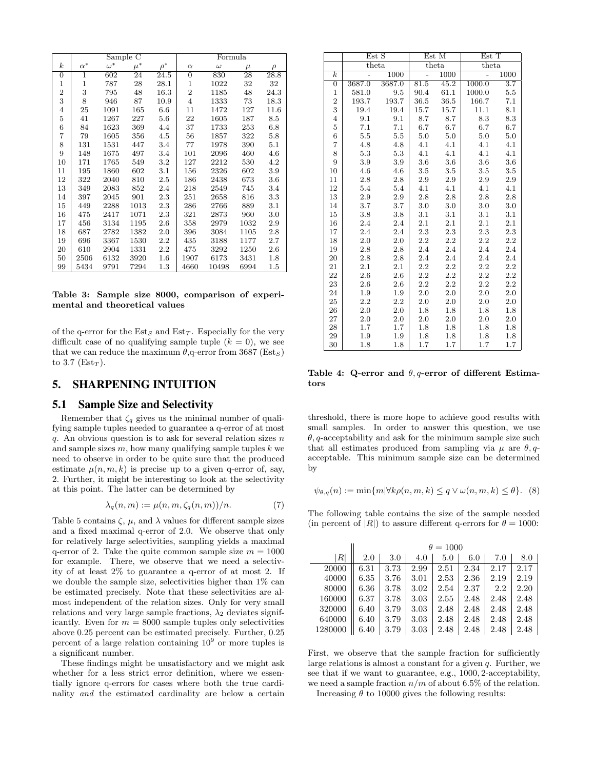|                  |            | Sample     | C       |          |                | Formula  |                 |         |
|------------------|------------|------------|---------|----------|----------------|----------|-----------------|---------|
| $\boldsymbol{k}$ | $\alpha^*$ | $\omega^*$ | $\mu^*$ | $\rho^*$ | $\alpha$       | $\omega$ | $\mu$           | $\rho$  |
| $\boldsymbol{0}$ | 1          | 602        | 24      | 24.5     | $\mathbf{0}$   | 830      | $\overline{2}8$ | 28.8    |
| 1                | 1          | 787        | 28      | 28.1     | 1              | 1022     | 32              | 32      |
| $\overline{2}$   | 3          | 795        | 48      | 16.3     | $\overline{2}$ | 1185     | 48              | 24.3    |
| 3                | 8          | 946        | 87      | 10.9     | $\overline{4}$ | 1333     | 73              | 18.3    |
| 4                | 25         | 1091       | 165     | 6.6      | 11             | 1472     | 127             | 11.6    |
| 5                | 41         | 1267       | 227     | $5.6\,$  | 22             | 1605     | 187             | 8.5     |
| 6                | 84         | 1623       | 369     | 4.4      | 37             | 1733     | 253             | $6.8\,$ |
| 7                | 79         | 1605       | 356     | 4.5      | 56             | 1857     | 322             | 5.8     |
| 8                | 131        | 1531       | 447     | 3.4      | 77             | 1978     | 390             | 5.1     |
| 9                | 148        | 1675       | 497     | 3.4      | 101            | 2096     | 460             | 4.6     |
| 10               | 171        | 1765       | 549     | $3.2\,$  | 127            | 2212     | 530             | 4.2     |
| 11               | 195        | 1860       | 602     | 3.1      | 156            | 2326     | 602             | 3.9     |
| 12               | 322        | 2040       | 810     | 2.5      | 186            | 2438     | 673             | 3.6     |
| 13               | 349        | 2083       | 852     | 2.4      | 218            | 2549     | 745             | 3.4     |
| 14               | 397        | 2045       | 901     | 2.3      | 251            | 2658     | 816             | 3.3     |
| 15               | 449        | 2288       | 1013    | 2.3      | 286            | 2766     | 889             | 3.1     |
| 16               | 475        | 2417       | 1071    | 2.3      | 321            | 2873     | 960             | 3.0     |
| 17               | 456        | 3134       | 1195    | 2.6      | 358            | 2979     | 1032            | 2.9     |
| 18               | 687        | 2782       | 1382    | 2.0      | 396            | 3084     | 1105            | 2.8     |
| 19               | 696        | 3367       | 1530    | $2.2\,$  | 435            | 3188     | 1177            | 2.7     |
| 20               | 610        | 2904       | 1331    | $2.2\,$  | 475            | 3292     | 1250            | 2.6     |
| 50               | 2506       | 6132       | 3920    | $1.6\,$  | 1907           | 6173     | 3431            | $1.8\,$ |
| 99               | 5434       | 9791       | 7294    | $1.3\,$  | 4660           | 10498    | 6994            | $1.5\,$ |

#### Table 3: Sample size 8000, comparison of experimental and theoretical values

of the q-error for the  $Est<sub>S</sub>$  and  $Est<sub>T</sub>$ . Especially for the very difficult case of no qualifying sample tuple  $(k = 0)$ , we see that we can reduce the maximum  $\theta$ , q-error from 3687 (Est<sub>S</sub>) to 3.7 ( $\text{Est}_T$ ).

# 5. SHARPENING INTUITION

### 5.1 Sample Size and Selectivity

Remember that  $\zeta_q$  gives us the minimal number of qualifying sample tuples needed to guarantee a q-error of at most q. An obvious question is to ask for several relation sizes  $n$ and sample sizes  $m$ , how many qualifying sample tuples  $k$  we need to observe in order to be quite sure that the produced estimate  $\mu(n, m, k)$  is precise up to a given q-error of, say, 2. Further, it might be interesting to look at the selectivity at this point. The latter can be determined by

$$
\lambda_q(n,m) := \mu(n,m,\zeta_q(n,m))/n. \tag{7}
$$

Table 5 contains  $\zeta$ ,  $\mu$ , and  $\lambda$  values for different sample sizes and a fixed maximal q-error of 2.0. We observe that only for relatively large selectivities, sampling yields a maximal q-error of 2. Take the quite common sample size  $m = 1000$ for example. There, we observe that we need a selectivity of at least 2% to guarantee a q-error of at most 2. If we double the sample size, selectivities higher than 1% can be estimated precisely. Note that these selectivities are almost independent of the relation sizes. Only for very small relations and very large sample fractions,  $\lambda_2$  deviates significantly. Even for  $m = 8000$  sample tuples only selectivities above 0.25 percent can be estimated precisely. Further, 0.25 percent of a large relation containing  $10^9$  or more tuples is a significant number.

These findings might be unsatisfactory and we might ask whether for a less strict error definition, where we essentially ignore q-errors for cases where both the true cardinality and the estimated cardinality are below a certain

|                         |        | Est S   |                | Est M   | Est T  |                  |
|-------------------------|--------|---------|----------------|---------|--------|------------------|
|                         |        | theta   |                | theta   | theta  |                  |
| $\overline{k}$          |        | 1000    | $\overline{a}$ | 1000    |        | 1000             |
| $\overline{0}$          | 3687.0 | 3687.0  | 81.5           | 45.2    | 1000.0 | $\overline{3.7}$ |
| $\mathbf{1}$            | 581.0  | 9.5     | 90.4           | 61.1    | 1000.0 | 5.5              |
| $\overline{\mathbf{2}}$ | 193.7  | 193.7   | 36.5           | 36.5    | 166.7  | 7.1              |
| 3                       | 19.4   | 19.4    | 15.7           | 15.7    | 11.1   | 8.1              |
| $\overline{\mathbf{4}}$ | 9.1    | 9.1     | 8.7            | 8.7     | 8.3    | 8.3              |
| $\overline{5}$          | 7.1    | 7.1     | 6.7            | 6.7     | 6.7    | 6.7              |
| $\sqrt{6}$              | 5.5    | $5.5\,$ | 5.0            | 5.0     | 5.0    | 5.0              |
| $\overline{7}$          | 4.8    | 4.8     | 4.1            | 4.1     | 4.1    | 4.1              |
| 8                       | 5.3    | 5.3     | 4.1            | 4.1     | 4.1    | 4.1              |
| 9                       | 3.9    | 3.9     | 3.6            | 3.6     | 3.6    | 3.6              |
| 10                      | 4.6    | 4.6     | 3.5            | 3.5     | 3.5    | 3.5              |
| $11\,$                  | 2.8    | 2.8     | 2.9            | 2.9     | 2.9    | 2.9              |
| 12                      | 5.4    | 5.4     | 4.1            | 4.1     | 4.1    | 4.1              |
| 13                      | 2.9    | 2.9     | 2.8            | 2.8     | 2.8    | 2.8              |
| 14                      | 3.7    | 3.7     | 3.0            | 3.0     | 3.0    | 3.0              |
| 15                      | 3.8    | 3.8     | 3.1            | 3.1     | 3.1    | 3.1              |
| 16                      | 2.4    | 2.4     | 2.1            | 2.1     | 2.1    | 2.1              |
| 17                      | 2.4    | 2.4     | 2.3            | 2.3     | 2.3    | 2.3              |
| 18                      | 2.0    | 2.0     | 2.2            | 2.2     | 2.2    | 2.2              |
| 19                      | 2.8    | 2.8     | 2.4            | 2.4     | 2.4    | 2.4              |
| 20                      | 2.8    | 2.8     | 2.4            | $2.4\,$ | 2.4    | 2.4              |
| 21                      | 2.1    | 2.1     | 2.2            | 2.2     | 2.2    | 2.2              |
| 22                      | 2.6    | 2.6     | 2.2            | 2.2     | 2.2    | 2.2              |
| 23                      | 2.6    | 2.6     | 2.2            | 2.2     | 2.2    | 2.2              |
| 24                      | 1.9    | 1.9     | 2.0            | 2.0     | 2.0    | 2.0              |
| 25                      | 2.2    | 2.2     | 2.0            | 2.0     | 2.0    | 2.0              |
| 26                      | 2.0    | 2.0     | 1.8            | 1.8     | 1.8    | 1.8              |
| 27                      | 2.0    | 2.0     | $2.0\,$        | 2.0     | 2.0    | 2.0              |
| 28                      | 1.7    | 1.7     | 1.8            | $1.8\,$ | 1.8    | 1.8              |
| 29                      | 1.9    | 1.9     | 1.8            | 1.8     | 1.8    | 1.8              |
| 30                      | 1.8    | 1.8     | 1.7            | 1.7     | 1.7    | 1.7              |

Table 4: Q-error and  $\theta$ , q-error of different Estimators

threshold, there is more hope to achieve good results with small samples. In order to answer this question, we use  $\theta$ , q-acceptability and ask for the minimum sample size such that all estimates produced from sampling via  $\mu$  are  $\theta$ , qacceptable. This minimum sample size can be determined by

$$
\psi_{\theta,q}(n) := \min\{m|\forall k\rho(n,m,k) \le q \vee \omega(n,m,k) \le \theta\}.
$$
 (8)

The following table contains the size of the sample needed (in percent of  $|R|$ ) to assure different q-errors for  $\theta = 1000$ :

|         | $\theta = 1000$ |      |      |      |      |      |      |  |  |
|---------|-----------------|------|------|------|------|------|------|--|--|
| R       | 2.0             | 3.0  | 4.0  | 5.0  | 6.0  | 7.0  | 8.0  |  |  |
| 20000   | 6.31            | 3.73 | 2.99 | 2.51 | 2.34 | 2.17 | 2.17 |  |  |
| 40000   | 6.35            | 3.76 | 3.01 | 2.53 | 2.36 | 2.19 | 2.19 |  |  |
| 80000   | 6.36            | 3.78 | 3.02 | 2.54 | 2.37 | 2.2  | 2.20 |  |  |
| 160000  | 6.37            | 3.78 | 3.03 | 2.55 | 2.48 | 2.48 | 2.48 |  |  |
| 320000  | 6.40            | 3.79 | 3.03 | 2.48 | 2.48 | 2.48 | 2.48 |  |  |
| 640000  | 6.40            | 3.79 | 3.03 | 2.48 | 2.48 | 2.48 | 2.48 |  |  |
| 1280000 | 6.40            | 3.79 | 3.03 | 2.48 | 2.48 | 2.48 | 2.48 |  |  |

First, we observe that the sample fraction for sufficiently large relations is almost a constant for a given q. Further, we see that if we want to guarantee, e.g., 1000, 2-acceptability, we need a sample fraction  $n/m$  of about 6.5% of the relation.

Increasing  $\theta$  to 10000 gives the following results: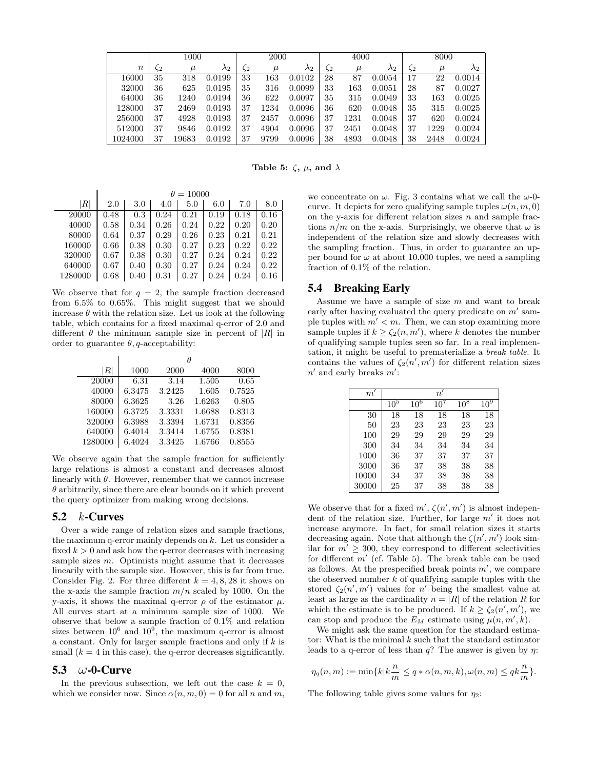|                  |    | 1000  |             |    | 2000  |             |           | 4000  |             |    | 8000  |             |
|------------------|----|-------|-------------|----|-------|-------------|-----------|-------|-------------|----|-------|-------------|
| $\boldsymbol{n}$ | 52 | $\mu$ | $\lambda_2$ | 52 | $\mu$ | $\lambda_2$ | $\zeta_2$ | $\mu$ | $\lambda_2$ | 52 | $\mu$ | $\lambda_2$ |
| 16000            | 35 | 318   | 0.0199      | 33 | 163   | 0.0102      | 28        | 87    | 0.0054      | 17 | 22    | 0.0014      |
| 32000            | 36 | 625   | 0.0195      | 35 | 316   | 0.0099      | 33        | 163   | 0.0051      | 28 | 87    | 0.0027      |
| 64000            | 36 | 1240  | 0.0194      | 36 | 622   | 0.0097      | 35        | 315   | 0.0049      | 33 | 163   | 0.0025      |
| 128000           | 37 | 2469  | 0.0193      | 37 | 1234  | 0.0096      | 36        | 620   | 0.0048      | 35 | 315   | 0.0025      |
| 256000           | 37 | 4928  | 0.0193      | 37 | 2457  | 0.0096      | 37        | 1231  | 0.0048      | 37 | 620   | 0.0024      |
| 512000           | 37 | 9846  | 0.0192      | 37 | 4904  | 0.0096      | 37        | 2451  | 0.0048      | 37 | 1229  | 0.0024      |
| 1024000          | 37 | 19683 | 0.0192      | 37 | 9799  | 0.0096      | 38        | 4893  | 0.0048      | 38 | 2448  | 0.0024      |

Table 5:  $\zeta$ ,  $\mu$ , and  $\lambda$ 

|         | $\theta = 10000$ |      |      |      |      |      |      |  |  |
|---------|------------------|------|------|------|------|------|------|--|--|
| ΙRΙ     | 2.0              | 3.0  | 4.0  | 5.0  | 6.0  | 7.0  | 8.0  |  |  |
| 20000   | 0.48             | 0.3  | 0.24 | 0.21 | 0.19 | 0.18 | 0.16 |  |  |
| 40000   | 0.58             | 0.34 | 0.26 | 0.24 | 0.22 | 0.20 | 0.20 |  |  |
| 80000   | 0.64             | 0.37 | 0.29 | 0.26 | 0.23 | 0.21 | 0.21 |  |  |
| 160000  | 0.66             | 0.38 | 0.30 | 0.27 | 0.23 | 0.22 | 0.22 |  |  |
| 320000  | 0.67             | 0.38 | 0.30 | 0.27 | 0.24 | 0.24 | 0.22 |  |  |
| 640000  | 0.67             | 0.40 | 0.30 | 0.27 | 0.24 | 0.24 | 0.22 |  |  |
| 1280000 | 0.68             | 0.40 | 0.31 | 0.27 | 0.24 | 0.24 | 0.16 |  |  |

We observe that for  $q = 2$ , the sample fraction decreased from 6.5% to 0.65%. This might suggest that we should increase  $\theta$  with the relation size. Let us look at the following table, which contains for a fixed maximal q-error of 2.0 and different  $\theta$  the minimum sample size in percent of |R| in order to guarantee  $\theta$ , q-acceptability:

| $R\vert$ | 1000   | 2000   | 4000   | 8000   |
|----------|--------|--------|--------|--------|
| 20000    | 6.31   | 3.14   | 1.505  | 0.65   |
| 40000    | 6.3475 | 3.2425 | 1.605  | 0.7525 |
| 80000    | 6.3625 | 3.26   | 1.6263 | 0.805  |
| 160000   | 6.3725 | 3.3331 | 1.6688 | 0.8313 |
| 320000   | 6.3988 | 3.3394 | 1.6731 | 0.8356 |
| 640000   | 6.4014 | 3.3414 | 1.6755 | 0.8381 |
| 1280000  | 6.4024 | 3.3425 | 1.6766 | 0.8555 |

We observe again that the sample fraction for sufficiently large relations is almost a constant and decreases almost linearly with  $\theta$ . However, remember that we cannot increase  $\theta$  arbitrarily, since there are clear bounds on it which prevent the query optimizer from making wrong decisions.

#### 5.2  $k$ -Curves

Over a wide range of relation sizes and sample fractions, the maximum q-error mainly depends on  $k$ . Let us consider a fixed  $k > 0$  and ask how the q-error decreases with increasing sample sizes  $m$ . Optimists might assume that it decreases linearily with the sample size. However, this is far from true. Consider Fig. 2. For three different  $k = 4, 8, 28$  it shows on the x-axis the sample fraction  $m/n$  scaled by 1000. On the y-axis, it shows the maximal q-error  $\rho$  of the estimator  $\mu$ . All curves start at a minimum sample size of 1000. We observe that below a sample fraction of 0.1% and relation sizes between  $10^6$  and  $10^9$ , the maximum q-error is almost a constant. Only for larger sample fractions and only if  $k$  is small  $(k = 4$  in this case), the q-error decreases significantly.

#### 5.3  $\omega$ -0-Curve

In the previous subsection, we left out the case  $k = 0$ , which we consider now. Since  $\alpha(n, m, 0) = 0$  for all n and m,

we concentrate on  $\omega$ . Fig. 3 contains what we call the  $\omega$ -0curve. It depicts for zero qualifying sample tuples  $\omega(n, m, 0)$ on the y-axis for different relation sizes  $n$  and sample fractions  $n/m$  on the x-axis. Surprisingly, we observe that  $\omega$  is independent of the relation size and slowly decreases with the sampling fraction. Thus, in order to guarantee an upper bound for  $\omega$  at about 10.000 tuples, we need a sampling fraction of 0.1% of the relation.

### 5.4 Breaking Early

Assume we have a sample of size  $m$  and want to break early after having evaluated the query predicate on  $m'$  sample tuples with  $m' < m$ . Then, we can stop examining more sample tuples if  $k \geq \zeta_2(n,m')$ , where k denotes the number of qualifying sample tuples seen so far. In a real implementation, it might be useful to prematerialize a break table. It contains the values of  $\zeta_2(n',m')$  for different relation sizes  $n'$  and early breaks  $m'$ :

| $m^{\prime}$ |                 |        | $n^{\prime}$ |        |        |
|--------------|-----------------|--------|--------------|--------|--------|
|              | 10 <sup>5</sup> | $10^6$ | $10^7$       | $10^8$ | $10^9$ |
| 30           | 18              | 18     | 18           | 18     | 18     |
| 50           | 23              | 23     | 23           | 23     | 23     |
| 100          | 29              | 29     | 29           | 29     | 29     |
| 300          | 34              | 34     | 34           | 34     | 34     |
| 1000         | 36              | 37     | 37           | 37     | 37     |
| 3000         | 36              | 37     | 38           | 38     | 38     |
| 10000        | 34              | 37     | 38           | 38     | 38     |
| 30000        | 25              | 37     | 38           | 38     | 38     |

We observe that for a fixed  $m', \zeta(n', m')$  is almost independent of the relation size. Further, for large  $m'$  it does not increase anymore. In fact, for small relation sizes it starts decreasing again. Note that although the  $\zeta(n', m')$  look similar for  $m' \geq 300$ , they correspond to different selectivities for different  $m'$  (cf. Table 5). The break table can be used as follows. At the prespecified break points  $m'$ , we compare the observed number  $k$  of qualifying sample tuples with the stored  $\zeta_2(n',m')$  values for n' being the smallest value at least as large as the cardinality  $n = |R|$  of the relation R for which the estimate is to be produced. If  $k \geq \zeta_2(n', m')$ , we can stop and produce the  $E_M$  estimate using  $\mu(n, m', k)$ .

We might ask the same question for the standard estimator: What is the minimal  $k$  such that the standard estimator leads to a q-error of less than  $q$ ? The answer is given by  $\eta$ :

$$
\eta_q(n,m):=\min\{k|k\frac{n}{m}\leq q*\alpha(n,m,k),\omega(n,m)\leq qk\frac{n}{m}\}.
$$

The following table gives some values for  $\eta_2$ :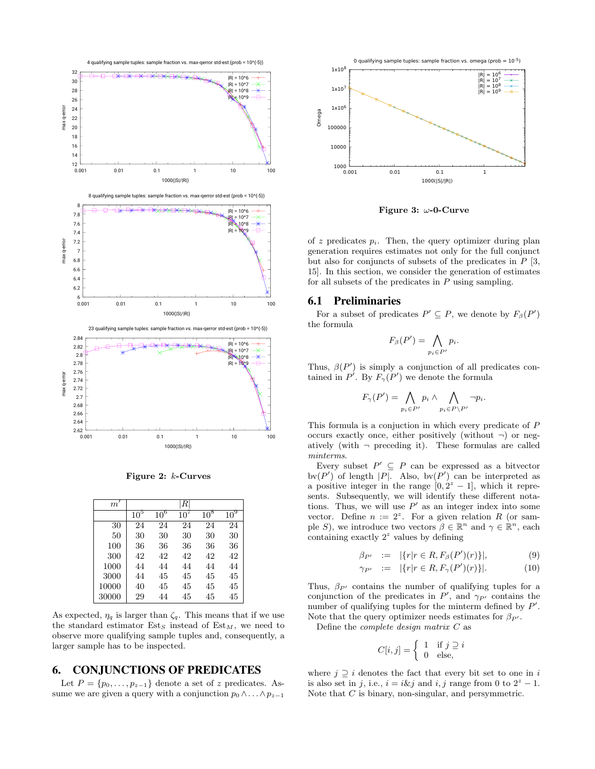

Figure 2: k-Curves

| $m^{\prime}$ |          |        | R      |        |                 |
|--------------|----------|--------|--------|--------|-----------------|
|              | $10^{5}$ | $10^6$ | $10^7$ | $10^8$ | 10 <sup>9</sup> |
| 30           | 24       | 24     | 24     | 24     | 24              |
| 50           | 30       | 30     | 30     | 30     | 30              |
| 100          | 36       | 36     | 36     | 36     | 36              |
| 300          | 42       | 42     | 42     | 42     | 42              |
| 1000         | 44       | 44     | 44     | 44     | 44              |
| 3000         | 44       | 45     | 45     | 45     | 45              |
| 10000        | 40       | 45     | 45     | 45     | 45              |
| 30000        | 29       | 44     | 45     | 45     | 45              |

As expected,  $\eta_q$  is larger than  $\zeta_q$ . This means that if we use the standard estimator  $Est<sub>S</sub>$  instead of  $Est<sub>M</sub>$ , we need to observe more qualifying sample tuples and, consequently, a larger sample has to be inspected.

# 6. CONJUNCTIONS OF PREDICATES

Let  $P = \{p_0, \ldots, p_{z-1}\}\$  denote a set of z predicates. Assume we are given a query with a conjunction  $p_0 \wedge \ldots \wedge p_{z-1}$ 



Figure 3:  $\omega$ -0-Curve

of z predicates  $p_i$ . Then, the query optimizer during plan generation requires estimates not only for the full conjunct but also for conjuncts of subsets of the predicates in  $P$  [3, 15]. In this section, we consider the generation of estimates for all subsets of the predicates in  $P$  using sampling.

#### 6.1 Preliminaries

For a subset of predicates  $P' \subseteq P$ , we denote by  $F_{\beta}(P')$ the formula

$$
F_{\beta}(P') = \bigwedge_{p_i \in P'} p_i.
$$

Thus,  $\beta(P')$  is simply a conjunction of all predicates contained in  $P'$ . By  $F_{\gamma}(P')$  we denote the formula

$$
F_{\gamma}(P') = \bigwedge_{p_i \in P'} p_i \wedge \bigwedge_{p_i \in P \backslash P'} \neg p_i.
$$

This formula is a conjuction in which every predicate of P occurs exactly once, either positively (without  $\neg$ ) or negatively (with  $\neg$  preceding it). These formulas are called minterms.

Every subset  $P' \subseteq P$  can be expressed as a bitvector bv $(P')$  of length |P|. Also, bv $(P')$  can be interpreted as a positive integer in the range  $[0, 2<sup>z</sup> - 1]$ , which it represents. Subsequently, we will identify these different notations. Thus, we will use  $P'$  as an integer index into some vector. Define  $n := 2^z$ . For a given relation R (or sample S), we introduce two vectors  $\beta \in \mathbb{R}^n$  and  $\gamma \in \mathbb{R}^n$ , each containing exactly  $2^z$  values by defining

$$
\beta_{P'} := |\{r|r \in R, F_{\beta}(P')(r)\}|, \tag{9}
$$

$$
\gamma_{P'} := |\{r|r \in R, F_{\gamma}(P')(r)\}|. \tag{10}
$$

Thus,  $\beta_{P'}$  contains the number of qualifying tuples for a conjunction of the predicates in  $P'$ , and  $\gamma_{P'}$  contains the number of qualifying tuples for the minterm defined by  $P'$ . Note that the query optimizer needs estimates for  $\beta_{P'}$ .

Define the complete design matrix C as

$$
C[i,j] = \begin{cases} 1 & \text{if } j \supseteq i \\ 0 & \text{else,} \end{cases}
$$

where  $j \supseteq i$  denotes the fact that every bit set to one in i is also set in j, i.e.,  $i = i \& j$  and  $i, j$  range from 0 to  $2^{z} - 1$ . Note that  $C$  is binary, non-singular, and persymmetric.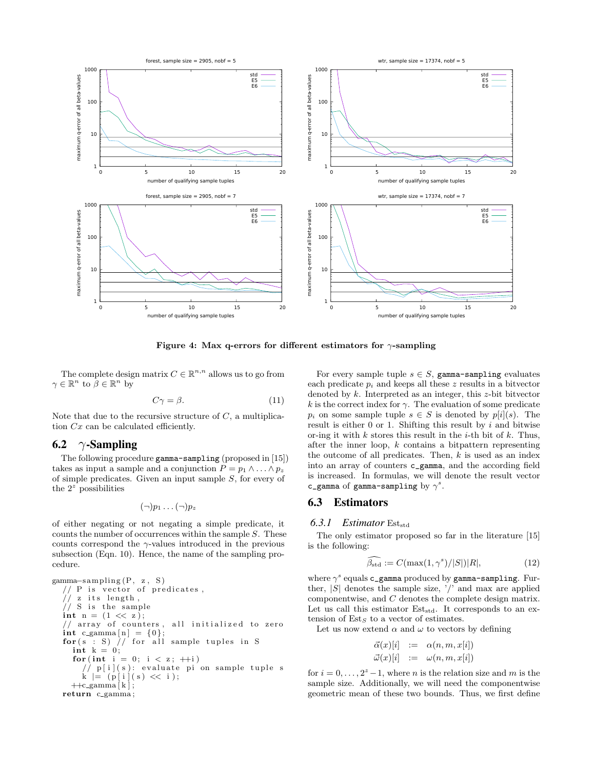

Figure 4: Max q-errors for different estimators for  $\gamma$ -sampling

The complete design matrix  $C \in \mathbb{R}^{n,n}$  allows us to go from  $\gamma \in \mathbb{R}^n$  to  $\beta \in \mathbb{R}^n$  by

$$
C\gamma = \beta. \tag{11}
$$

Note that due to the recursive structure of  $C$ , a multiplication Cx can be calculated efficiently.

#### 6.2  $\gamma$ -Sampling

The following procedure gamma-sampling (proposed in [15]) takes as input a sample and a conjunction  $P = p_1 \wedge \ldots \wedge p_z$ of simple predicates. Given an input sample S, for every of the  $2^z$  possibilities

$$
(\neg) p_1 \ldots (\neg) p_z
$$

of either negating or not negating a simple predicate, it counts the number of occurrences within the sample  $S$ . These counts correspond the  $\gamma$ -values introduced in the previous subsection (Eqn. 10). Hence, the name of the sampling procedure.

```
gamma−s ampling (P, z , S )
// P is vector of predicates,
// z its length,
// S is the sample
int n = (1 \ll z);// array of counters, all initialized to zero
int c_{\text{gamma}}[n] = \{0\};for (s : S) // for all sample tuples in S
  int k = 0;
  for (int i = 0; i < z; ++i)
     // p[i](s): evaluate pi on sample tuple sk = (p[i](s) \ll i);++c_gamma \lfloor k \rfloor;
return c_gamma;
```
For every sample tuple  $s \in S$ , gamma-sampling evaluates each predicate  $p_i$  and keeps all these z results in a bitvector denoted by k. Interpreted as an integer, this z-bit bitvector k is the correct index for  $\gamma$ . The evaluation of some predicate  $p_i$  on some sample tuple  $s \in S$  is denoted by  $p[i](s)$ . The result is either  $0$  or  $1$ . Shifting this result by i and bitwise or-ing it with  $k$  stores this result in the *i*-th bit of  $k$ . Thus, after the inner loop,  $k$  contains a bitpattern representing the outcome of all predicates. Then,  $k$  is used as an index into an array of counters c\_gamma, and the according field is increased. In formulas, we will denote the result vector c\_gamma of gamma-sampling by  $\gamma^s$ .

### 6.3 Estimators

### 6.3.1 Estimator Est<sub>std</sub>

The only estimator proposed so far in the literature [15] is the following:

$$
\widehat{\beta_{\text{std}}} := C(\max(1, \gamma^s)/|S|)|R|,\tag{12}
$$

where  $\gamma^s$  equals c\_gamma produced by gamma-sampling. Further,  $|S|$  denotes the sample size,  $\prime$  and max are applied componentwise, and C denotes the complete design matrix. Let us call this estimator  $Est_{std}$ . It corresponds to an extension of  $Est_S$  to a vector of estimates.

Let us now extend  $\alpha$  and  $\omega$  to vectors by defining

$$
\vec{\alpha}(x)[i] := \alpha(n, m, x[i])
$$
  

$$
\vec{\omega}(x)[i] := \omega(n, m, x[i])
$$

for  $i = 0, \ldots, 2^z - 1$ , where *n* is the relation size and *m* is the sample size. Additionally, we will need the componentwise geometric mean of these two bounds. Thus, we first define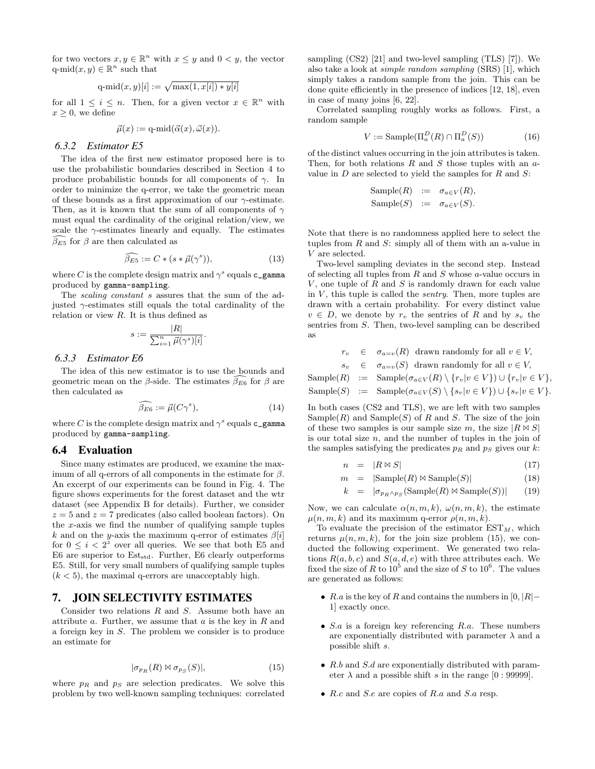for two vectors  $x, y \in \mathbb{R}^n$  with  $x \leq y$  and  $0 < y$ , the vector  $q$ -mid $(x, y) \in \mathbb{R}^n$  such that

q-mid
$$
(x, y)[i] := \sqrt{\max(1, x[i]) * y[i]}
$$

for all  $1 \leq i \leq n$ . Then, for a given vector  $x \in \mathbb{R}^n$  with  $x \geq 0$ , we define

$$
\vec{\mu}(x) := \mathrm{q}\text{-}\mathrm{mid}(\vec{\alpha}(x), \vec{\omega}(x)).
$$

#### *6.3.2 Estimator E5*

The idea of the first new estimator proposed here is to use the probabilistic boundaries described in Section 4 to produce probabilistic bounds for all components of  $\gamma$ . In order to minimize the q-error, we take the geometric mean of these bounds as a first approximation of our  $\gamma$ -estimate. Then, as it is known that the sum of all components of  $\gamma$ must equal the cardinality of the original relation/view, we scale the  $\gamma$ -estimates linearly and equally. The estimates  $\beta_{E5}$  for  $\beta$  are then calculated as

$$
\widehat{\beta_{E5}} := C * (s * \vec{\mu}(\gamma^s)),\tag{13}
$$

where  $C$  is the complete design matrix and  $\gamma^s$  equals  ${\tt c\_gamma}$ produced by gamma-sampling.

The *scaling constant s* assures that the sum of the adjusted  $\gamma$ -estimates still equals the total cardinality of the relation or view  $R$ . It is thus defined as

$$
s:=\frac{|R|}{\sum_{i=1}^n \vec{\mu}(\gamma^s)[i]}.
$$

#### *6.3.3 Estimator E6*

The idea of this new estimator is to use the bounds and geometric mean on the  $\beta$ -side. The estimates  $\beta_{E6}$  for  $\beta$  are then calculated as

$$
\widehat{\beta_{E6}} := \vec{\mu}(C\gamma^s),\tag{14}
$$

where C is the complete design matrix and  $\gamma^s$  equals **c\_gamma** produced by gamma-sampling.

#### 6.4 Evaluation

Since many estimates are produced, we examine the maximum of all q-errors of all components in the estimate for  $\beta$ . An excerpt of our experiments can be found in Fig. 4. The figure shows experiments for the forest dataset and the wtr dataset (see Appendix B for details). Further, we consider  $z = 5$  and  $z = 7$  predicates (also called boolean factors). On the x-axis we find the number of qualifying sample tuples k and on the y-axis the maximum q-error of estimates  $\beta[i]$ for  $0 \leq i < 2^z$  over all queries. We see that both E5 and  $E6$  are superior to  $Est_{std}$ . Further,  $E6$  clearly outperforms E5. Still, for very small numbers of qualifying sample tuples  $(k < 5)$ , the maximal q-errors are unacceptably high.

### 7. JOIN SELECTIVITY ESTIMATES

Consider two relations  $R$  and  $S$ . Assume both have an attribute  $a$ . Further, we assume that  $a$  is the key in  $R$  and a foreign key in S. The problem we consider is to produce an estimate for

$$
|\sigma_{p_R}(R) \bowtie \sigma_{p_S}(S)|, \tag{15}
$$

where  $p_R$  and  $p_S$  are selection predicates. We solve this problem by two well-known sampling techniques: correlated sampling (CS2) [21] and two-level sampling (TLS) [7]). We also take a look at simple random sampling (SRS) [1], which simply takes a random sample from the join. This can be done quite efficiently in the presence of indices [12, 18], even in case of many joins [6, 22].

Correlated sampling roughly works as follows. First, a random sample

$$
V := \text{Sample}(\Pi_a^D(R) \cap \Pi_a^D(S)) \tag{16}
$$

of the distinct values occurring in the join attributes is taken. Then, for both relations  $R$  and  $S$  those tuples with an  $a$ value in  $D$  are selected to yield the samples for  $R$  and  $S$ :

$$
Sample(R) := \sigma_{a \in V}(R),
$$
  
Sample(S) :=  $\sigma_{a \in V}(S)$ .

Note that there is no randomness applied here to select the tuples from  $R$  and  $S$ : simply all of them with an a-value in V are selected.

Two-level sampling deviates in the second step. Instead of selecting all tuples from R and S whose a-value occurs in  $V$ , one tuple of  $R$  and  $S$  is randomly drawn for each value in  $V$ , this tuple is called the *sentry*. Then, more tuples are drawn with a certain probability. For every distinct value  $v \in D$ , we denote by  $r_v$  the sentries of R and by  $s_v$  the sentries from S. Then, two-level sampling can be described as

 $\in \sigma_{a=v}(R)$  drawn randomly for all  $v \in V$ ,  $s_v \in \sigma_{a=v}(S)$  drawn randomly for all  $v \in V$ , Sample(R) := Sample( $\sigma_{a\in V}(R) \setminus \{r_v|v\in V\}$ )  $\cup \{r_v|v\in V\}$ , Sample(S) := Sample( $\sigma_{a\in V}(S) \setminus \{s_v | v \in V\}$ ) ∪  $\{s_v | v \in V\}$ .

In both cases (CS2 and TLS), we are left with two samples  $Sample(R)$  and  $Sample(S)$  of R and S. The size of the join of these two samples is our sample size m, the size  $|R \bowtie S|$ is our total size  $n$ , and the number of tuples in the join of the samples satisfying the predicates  $p_R$  and  $p_S$  gives our k:

$$
n = |R \bowtie S| \tag{17}
$$

$$
m = |\text{Sample}(R) \bowtie \text{Sample}(S)| \tag{18}
$$

$$
k = |\sigma_{p_R \wedge p_S}(\text{Sample}(R) \bowtie \text{Sample}(S))|
$$
 (19)

Now, we can calculate  $\alpha(n, m, k)$ ,  $\omega(n, m, k)$ , the estimate  $\mu(n, m, k)$  and its maximum q-error  $\rho(n, m, k)$ .

To evaluate the precision of the estimator  $EST_M$ , which returns  $\mu(n, m, k)$ , for the join size problem (15), we conducted the following experiment. We generated two relations  $R(a, b, c)$  and  $S(a, d, e)$  with three attributes each. We fixed the size of R to  $10^5$  and the size of S to  $10^6$ . The values are generated as follows:

- R.a is the key of R and contains the numbers in  $[0, |R| -$ 1] exactly once.
- $S.a$  is a foreign key referencing  $R.a$ . These numbers are exponentially distributed with parameter  $\lambda$  and a possible shift s.
- R.b and S.d are exponentially distributed with parameter  $\lambda$  and a possible shift s in the range [0 : 99999].
- R.c and S.e are copies of R.a and S.a resp.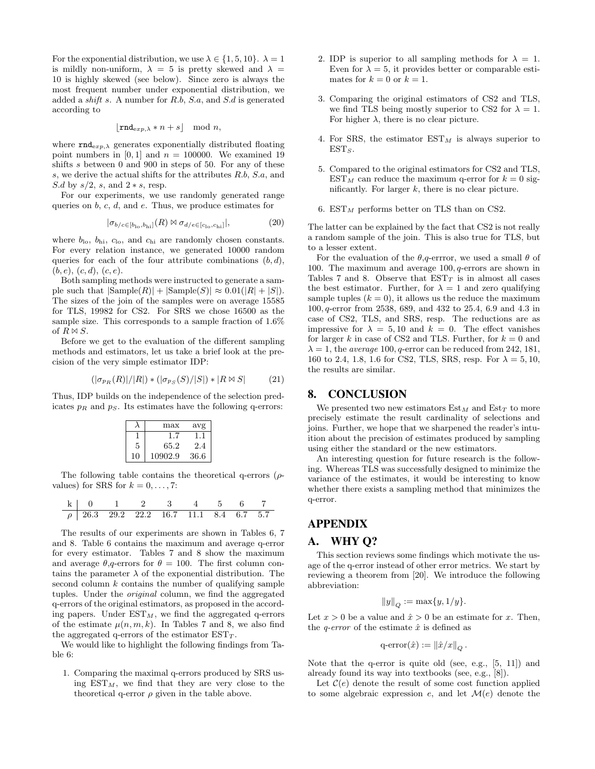For the exponential distribution, we use  $\lambda \in \{1, 5, 10\}$ .  $\lambda = 1$ is mildly non-uniform,  $\lambda = 5$  is pretty skewed and  $\lambda =$ 10 is highly skewed (see below). Since zero is always the most frequent number under exponential distribution, we added a shift s. A number for R.b, S.a, and S.d is generated according to

$$
\lfloor \operatorname{rnd}_{\exp, \lambda} * n + s \rfloor \mod n,
$$

where  $\texttt{rnd}_{exp,\lambda}$  generates exponentially distributed floating point numbers in  $[0, 1]$  and  $n = 100000$ . We examined 19 shifts s between 0 and 900 in steps of 50. For any of these s, we derive the actual shifts for the attributes R.b, S.a, and S.d by  $s/2$ , s, and  $2*s$ , resp.

For our experiments, we use randomly generated range queries on  $b, c, d$ , and  $e$ . Thus, we produce estimates for

$$
|\sigma_{b/c \in [b_{\text{lo}}, b_{\text{hi}}]}(R) \boxtimes \sigma_{d/e \in [c_{\text{lo}}, c_{\text{hi}}]}|, \tag{20}
$$

where  $b_{\text{lo}}$ ,  $b_{\text{hi}}$ ,  $c_{\text{lo}}$ , and  $c_{\text{hi}}$  are randomly chosen constants. For every relation instance, we generated 10000 random queries for each of the four attribute combinations  $(b, d)$ ,  $(b, e), (c, d), (c, e).$ 

Both sampling methods were instructed to generate a sample such that  $|\text{Sample}(R)| + |\text{Sample}(S)| \approx 0.01(|R| + |S|)$ . The sizes of the join of the samples were on average 15585 for TLS, 19982 for CS2. For SRS we chose 16500 as the sample size. This corresponds to a sample fraction of 1.6% of  $R \bowtie S$ .

Before we get to the evaluation of the different sampling methods and estimators, let us take a brief look at the precision of the very simple estimator IDP:

$$
(|\sigma_{pR}(R)|/|R|) * (|\sigma_{pS}(S)/|S|) * |R \bowtie S| \tag{21}
$$

Thus, IDP builds on the independence of the selection predicates  $p_R$  and  $p_S$ . Its estimates have the following q-errors:

|    | max     | avg  |
|----|---------|------|
|    | 1.7     |      |
| 5  | 65.2    | 2.4  |
| 10 | 10902.9 | 36.6 |

The following table contains the theoretical q-errors  $(\rho$ values) for SRS for  $k = 0, \ldots, 7$ :

| k      | 0    | 1    | 2    | 3    | 4    | 5   | 6   | 7   |
|--------|------|------|------|------|------|-----|-----|-----|
| $\rho$ | 26.3 | 29.2 | 22.2 | 16.7 | 11.1 | 8.4 | 6.7 | 5.7 |

 $\overline{a}$ 

The results of our experiments are shown in Tables 6, 7 and 8. Table 6 contains the maximum and average q-error for every estimator. Tables 7 and 8 show the maximum and average  $\theta$ , q-errors for  $\theta = 100$ . The first column contains the parameter  $\lambda$  of the exponential distribution. The second column  $k$  contains the number of qualifying sample tuples. Under the original column, we find the aggregated q-errors of the original estimators, as proposed in the according papers. Under  $EST_M$ , we find the aggregated q-errors of the estimate  $\mu(n, m, k)$ . In Tables 7 and 8, we also find the aggregated q-errors of the estimator  $EST_T$ .

We would like to highlight the following findings from Table 6:

1. Comparing the maximal q-errors produced by SRS using  $EST_M$ , we find that they are very close to the theoretical q-error  $\rho$  given in the table above.

- 2. IDP is superior to all sampling methods for  $\lambda = 1$ . Even for  $\lambda = 5$ , it provides better or comparable estimates for  $k = 0$  or  $k = 1$ .
- 3. Comparing the original estimators of CS2 and TLS, we find TLS being mostly superior to CS2 for  $\lambda = 1$ . For higher  $\lambda$ , there is no clear picture.
- 4. For SRS, the estimator  $EST_M$  is always superior to  $EST_S$ .
- 5. Compared to the original estimators for CS2 and TLS,  $EST_M$  can reduce the maximum q-error for  $k = 0$  significantly. For larger  $k$ , there is no clear picture.
- 6.  $EST_M$  performs better on TLS than on CS2.

The latter can be explained by the fact that CS2 is not really a random sample of the join. This is also true for TLS, but to a lesser extent.

For the evaluation of the  $\theta$ , q-errror, we used a small  $\theta$  of 100. The maximum and average 100, q-errors are shown in Tables 7 and 8. Observe that  $EST<sub>T</sub>$  is in almost all cases the best estimator. Further, for  $\lambda = 1$  and zero qualifying sample tuples  $(k = 0)$ , it allows us the reduce the maximum 100, q-error from 2538, 689, and 432 to 25.4, 6.9 and 4.3 in case of CS2, TLS, and SRS, resp. The reductions are as impressive for  $\lambda = 5, 10$  and  $k = 0$ . The effect vanishes for larger k in case of CS2 and TLS. Further, for  $k = 0$  and  $\lambda = 1$ , the *average* 100, *q*-error can be reduced from 242, 181, 160 to 2.4, 1.8, 1.6 for CS2, TLS, SRS, resp. For  $\lambda = 5, 10$ , the results are similar.

### 8. CONCLUSION

We presented two new estimators  $Est_M$  and  $Est_T$  to more precisely estimate the result cardinality of selections and joins. Further, we hope that we sharpened the reader's intuition about the precision of estimates produced by sampling using either the standard or the new estimators.

An interesting question for future research is the following. Whereas TLS was successfully designed to minimize the variance of the estimates, it would be interesting to know whether there exists a sampling method that minimizes the q-error.

### APPENDIX

#### A. WHY Q?

This section reviews some findings which motivate the usage of the q-error instead of other error metrics. We start by reviewing a theorem from [20]. We introduce the following abbreviation:

$$
||y||_Q := \max\{y, 1/y\}.
$$

Let  $x > 0$  be a value and  $\hat{x} > 0$  be an estimate for x. Then, the *q-error* of the estimate  $\hat{x}$  is defined as

$$
\mathrm{q\text{-}error}(\hat{x}) := \left\|\hat{x}/x\right\|_Q.
$$

Note that the q-error is quite old (see, e.g., [5, 11]) and already found its way into textbooks (see, e.g., [8]).

Let  $\mathcal{C}(e)$  denote the result of some cost function applied to some algebraic expression e, and let  $\mathcal{M}(e)$  denote the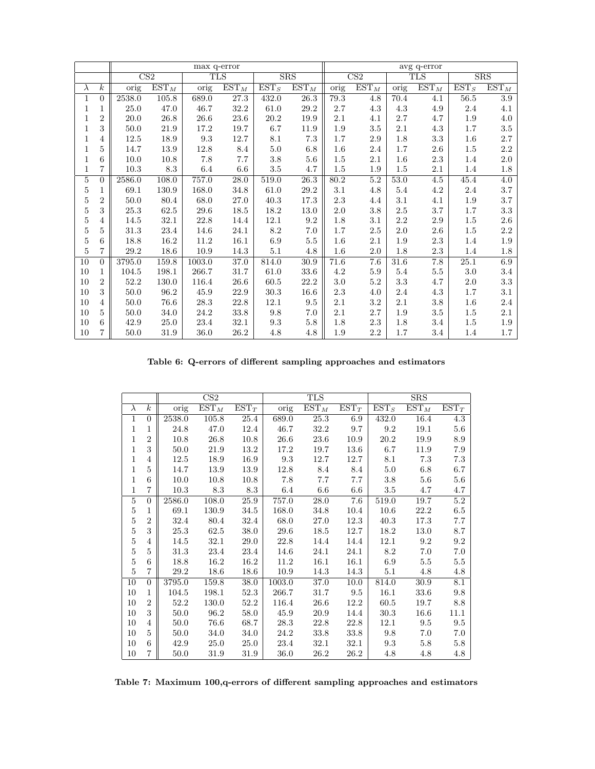|                |                  | max q-error              |                             |                          |                             |                             |                             |                          | avg q-error                 |         |                             |                             |                             |  |
|----------------|------------------|--------------------------|-----------------------------|--------------------------|-----------------------------|-----------------------------|-----------------------------|--------------------------|-----------------------------|---------|-----------------------------|-----------------------------|-----------------------------|--|
|                |                  |                          | $\overline{\text{CS2}}$     |                          | <b>TLS</b>                  |                             | SRS                         |                          | $\overline{\text{CS2}}$     |         | <b>TLS</b>                  |                             | SRS                         |  |
| $\lambda$      | $\boldsymbol{k}$ | $\overline{\text{orig}}$ | $\overline{\mathrm{EST}_M}$ | $\overline{\text{orig}}$ | $\overline{\mathrm{EST}_M}$ | $\overline{\mathrm{EST}_S}$ | $\overline{\mathrm{EST}_M}$ | $\overline{\text{orig}}$ | $\overline{\mathrm{EST}_M}$ | orig    | $\overline{\mathrm{EST}_M}$ | $\overline{\mathrm{EST}_S}$ | $\overline{\mathrm{EST}_M}$ |  |
| 1              | $\Omega$         | 2538.0                   | 105.8                       | 689.0                    | 27.3                        | 432.0                       | 26.3                        | 79.3                     | 4.8                         | 70.4    | 4.1                         | 56.5                        | 3.9                         |  |
| 1              | 1                | 25.0                     | 47.0                        | 46.7                     | 32.2                        | 61.0                        | 29.2                        | 2.7                      | 4.3                         | 4.3     | 4.9                         | $2.4\,$                     | 4.1                         |  |
| 1              | $\overline{2}$   | 20.0                     | 26.8                        | 26.6                     | 23.6                        | 20.2                        | 19.9                        | 2.1                      | 4.1                         | $2.7\,$ | 4.7                         | 1.9                         | 4.0                         |  |
| 1              | 3                | 50.0                     | 21.9                        | 17.2                     | 19.7                        | 6.7                         | 11.9                        | 1.9                      | $3.5\,$                     | 2.1     | 4.3                         | 1.7                         | $3.5\,$                     |  |
| 1              | 4                | 12.5                     | 18.9                        | $\rm 9.3$                | 12.7                        | $8.1\,$                     | $7.3\,$                     | 1.7                      | $2.9\,$                     | $1.8\,$ | $\!3.3\!$                   | 1.6                         | $2.7\,$                     |  |
| 1              | $\overline{5}$   | 14.7                     | 13.9                        | 12.8                     | 8.4                         | $5.0\,$                     | 6.8                         | $1.6\,$                  | 2.4                         | 1.7     | $2.6\,$                     | 1.5                         | $2.2\,$                     |  |
| 1              | 6                | 10.0                     | 10.8                        | 7.8                      | $7.7\,$                     | 3.8                         | $5.6\,$                     | 1.5                      | $2.1\,$                     | 1.6     | $2.3\,$                     | 1.4                         | $2.0\,$                     |  |
| 1              | 7                | 10.3                     | 8.3                         | 6.4                      | $6.6\,$                     | $3.5\,$                     | 4.7                         | 1.5                      | 1.9                         | $1.5\,$ | 2.1                         | 1.4                         | 1.8                         |  |
| $\overline{5}$ | $\Omega$         | 2586.0                   | 108.0                       | 757.0                    | $\overline{28.0}$           | 519.0                       | $\overline{26.3}$           | 80.2                     | $\overline{5.2}$            | 53.0    | $\overline{4.5}$            | 45.4                        | $\overline{4.0}$            |  |
| 5              | 1                | 69.1                     | 130.9                       | 168.0                    | 34.8                        | 61.0                        | $29.2\,$                    | 3.1                      | 4.8                         | $5.4\,$ | 4.2                         | $2.4\,$                     | 3.7                         |  |
| $\bf 5$        | $\overline{2}$   | 50.0                     | 80.4                        | 68.0                     | 27.0                        | 40.3                        | 17.3                        | 2.3                      | 4.4                         | 3.1     | 4.1                         | 1.9                         | 3.7                         |  |
| $\overline{5}$ | 3                | 25.3                     | 62.5                        | $\hphantom{0}29.6$       | 18.5                        | $18.2\,$                    | $13.0\,$                    | $2.0\,$                  | $3.8\,$                     | $2.5\,$ | $3.7\,$                     | 1.7                         | $\!3.3\!$                   |  |
| 5              | 4                | 14.5                     | 32.1                        | $22.8\,$                 | 14.4                        | $12.1\,$                    | $\rm 9.2$                   | $1.8\,$                  | 3.1                         | $2.2\,$ | $2.9\,$                     | $1.5\,$                     | 2.6                         |  |
| $\bf 5$        | 5                | 31.3                     | 23.4                        | 14.6                     | 24.1                        | $\!\!\!\!\!8.2$             | 7.0                         | 1.7                      | $2.5\,$                     | $2.0\,$ | $2.6\,$                     | 1.5                         | $2.2\,$                     |  |
| $\overline{5}$ | 6                | 18.8                     | 16.2                        | 11.2                     | 16.1                        | 6.9                         | $5.5\,$                     | 1.6                      | $2.1\,$                     | 1.9     | $2.3\,$                     | 1.4                         | 1.9                         |  |
| 5              | $\overline{7}$   | $29.2\,$                 | 18.6                        | 10.9                     | 14.3                        | 5.1                         | 4.8                         | 1.6                      | $2.0\,$                     | 1.8     | 2.3                         | 1.4                         | $1.8\,$                     |  |
| 10             | $\Omega$         | 3795.0                   | 159.8                       | 1003.0                   | 37.0                        | 814.0                       | 30.9                        | 71.6                     | 7.6                         | 31.6    | 7.8                         | 25.1                        | 6.9                         |  |
| 10             | $\mathbf{1}$     | 104.5                    | 198.1                       | 266.7                    | 31.7                        | 61.0                        | 33.6                        | 4.2                      | 5.9                         | $5.4\,$ | $5.5\,$                     | $3.0\,$                     | $3.4\,$                     |  |
| 10             | $\overline{2}$   | 52.2                     | 130.0                       | 116.4                    | 26.6                        | 60.5                        | 22.2                        | 3.0                      | 5.2                         | 3.3     | 4.7                         | 2.0                         | $\!3.3\!$                   |  |
| $10\,$         | 3                | 50.0                     | 96.2                        | 45.9                     | 22.9                        | 30.3                        | 16.6                        | 2.3                      | 4.0                         | 2.4     | 4.3                         | 1.7                         | 3.1                         |  |
| $10\,$         | 4                | $50.0\,$                 | 76.6                        | 28.3                     | 22.8                        | 12.1                        | $\ \, 9.5$                  | 2.1                      | $\!3.2\!$                   | 2.1     | $3.8\,$                     | 1.6                         | $2.4\,$                     |  |
| $10\,$         | 5                | 50.0                     | 34.0                        | 24.2                     | 33.8                        | $\,9.8$                     | 7.0                         | $2.1\,$                  | 2.7                         | 1.9     | $3.5\,$                     | 1.5                         | $2.1\,$                     |  |
| 10             | 6                | 42.9                     | 25.0                        | 23.4                     | 32.1                        | 9.3                         | $5.8\,$                     | 1.8                      | 2.3                         | 1.8     | 3.4                         | 1.5                         | 1.9                         |  |
| 10             | $\overline{7}$   | $50.0\,$                 | 31.9                        | 36.0                     | 26.2                        | 4.8                         | 4.8                         | 1.9                      | $2.2\,$                     | 1.7     | 3.4                         | 1.4                         | 1.7                         |  |

Table 6: Q-errors of different sampling approaches and estimators

|                |                  |        | $\overline{\text{CS2}}$ |          |                          | <b>TLS</b> |          |         | SRS       |         |
|----------------|------------------|--------|-------------------------|----------|--------------------------|------------|----------|---------|-----------|---------|
| $\lambda$      | $\boldsymbol{k}$ | orig   | $\mathrm{EST}_M$        | $EST_T$  | $\overline{\text{orig}}$ | $EST_{M}$  | $EST_T$  | $EST_S$ | $EST_{M}$ | $EST_T$ |
| $\mathbf{1}$   | $\overline{0}$   | 2538.0 | 105.8                   | 25.4     | 689.0                    | 25.3       | 6.9      | 432.0   | 16.4      | 4.3     |
| 1              | 1                | 24.8   | 47.0                    | 12.4     | 46.7                     | 32.2       | 9.7      | 9.2     | 19.1      | $5.6\,$ |
| 1              | $\overline{2}$   | 10.8   | 26.8                    | 10.8     | 26.6                     | $23.6\,$   | 10.9     | 20.2    | 19.9      | 8.9     |
| 1              | 3                | 50.0   | 21.9                    | $13.2\,$ | 17.2                     | 19.7       | 13.6     | 6.7     | 11.9      | 7.9     |
| 1              | $\overline{4}$   | 12.5   | 18.9                    | 16.9     | 9.3                      | 12.7       | 12.7     | 8.1     | 7.3       | 7.3     |
| 1              | 5                | 14.7   | 13.9                    | 13.9     | 12.8                     | 8.4        | 8.4      | $5.0\,$ | 6.8       | 6.7     |
| 1              | 6                | 10.0   | 10.8                    | 10.8     | 7.8                      | 7.7        | 7.7      | 3.8     | $5.6\,$   | 5.6     |
| 1              | $\overline{7}$   | 10.3   | 8.3                     | 8.3      | 6.4                      | 6.6        | 6.6      | 3.5     | 4.7       | 4.7     |
| $\overline{5}$ | $\overline{0}$   | 2586.0 | 108.0                   | 25.9     | 757.0                    | 28.0       | 7.6      | 519.0   | 19.7      | $5.2\,$ |
| 5              | $\mathbf 1$      | 69.1   | 130.9                   | 34.5     | 168.0                    | 34.8       | 10.4     | 10.6    | 22.2      | 6.5     |
| 5              | $\overline{2}$   | 32.4   | 80.4                    | 32.4     | 68.0                     | 27.0       | 12.3     | 40.3    | 17.3      | 7.7     |
| $\overline{5}$ | 3                | 25.3   | 62.5                    | 38.0     | 29.6                     | 18.5       | 12.7     | 18.2    | 13.0      | 8.7     |
| $\overline{5}$ | $\overline{4}$   | 14.5   | 32.1                    | 29.0     | 22.8                     | 14.4       | 14.4     | 12.1    | 9.2       | 9.2     |
| $\overline{5}$ | $\overline{5}$   | 31.3   | 23.4                    | 23.4     | 14.6                     | 24.1       | 24.1     | 8.2     | 7.0       | 7.0     |
| $\overline{5}$ | 6                | 18.8   | 16.2                    | 16.2     | 11.2                     | 16.1       | 16.1     | 6.9     | 5.5       | 5.5     |
| 5              | $\overline{7}$   | 29.2   | 18.6                    | 18.6     | 10.9                     | 14.3       | 14.3     | 5.1     | 4.8       | 4.8     |
| 10             | $\overline{0}$   | 3795.0 | 159.8                   | 38.0     | 1003.0                   | 37.0       | 10.0     | 814.0   | 30.9      | 8.1     |
| 10             | $\mathbf{1}$     | 104.5  | 198.1                   | 52.3     | 266.7                    | 31.7       | 9.5      | 16.1    | 33.6      | 9.8     |
| 10             | $\overline{2}$   | 52.2   | 130.0                   | 52.2     | 116.4                    | 26.6       | 12.2     | 60.5    | 19.7      | 8.8     |
| 10             | 3                | 50.0   | 96.2                    | 58.0     | 45.9                     | 20.9       | 14.4     | 30.3    | 16.6      | 11.1    |
| 10             | $\overline{4}$   | 50.0   | 76.6                    | 68.7     | 28.3                     | 22.8       | $22.8\,$ | 12.1    | 9.5       | 9.5     |
| 10             | 5                | 50.0   | 34.0                    | 34.0     | 24.2                     | 33.8       | 33.8     | 9.8     | 7.0       | 7.0     |
| 10             | 6                | 42.9   | 25.0                    | 25.0     | 23.4                     | 32.1       | 32.1     | 9.3     | 5.8       | 5.8     |
| 10             | $\overline{7}$   | 50.0   | 31.9                    | 31.9     | 36.0                     | 26.2       | 26.2     | 4.8     | 4.8       | 4.8     |

Table 7: Maximum 100,q-errors of different sampling approaches and estimators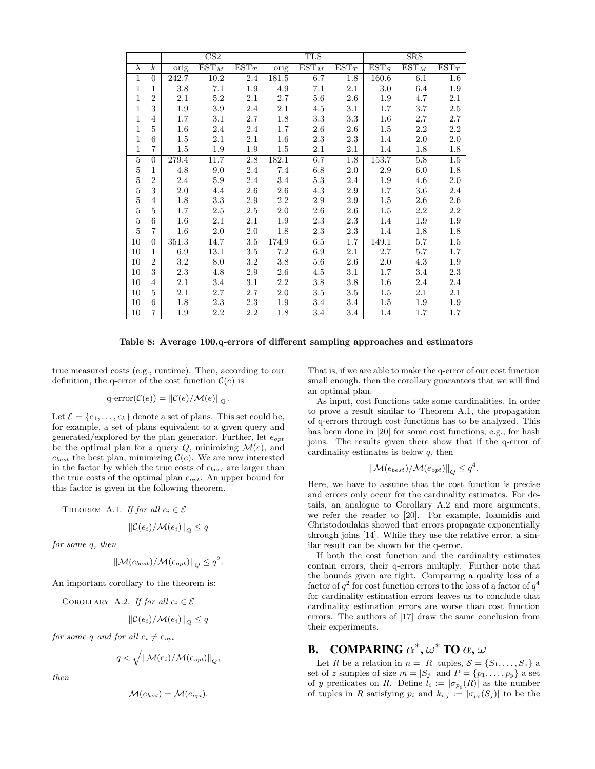|                |                  |         | CS <sub>2</sub>  |         |         | <b>TLS</b> |         |         | <b>SRS</b> |         |
|----------------|------------------|---------|------------------|---------|---------|------------|---------|---------|------------|---------|
| $\lambda$      | $\boldsymbol{k}$ | orig    | $\mathrm{EST}_M$ | $EST_T$ | orig    | $EST_M$    | $EST_T$ | $EST_S$ | $EST_{M}$  | $EST_T$ |
| $\mathbf{1}$   | $\overline{0}$   | 242.7   | 10.2             | 2.4     | 181.5   | 6.7        | 1.8     | 160.6   | 6.1        | $1.6\,$ |
| 1              | $\mathbf{1}$     | 3.8     | 7.1              | 1.9     | 4.9     | 7.1        | 2.1     | 3.0     | $6.4\,$    | 1.9     |
| 1              | $\overline{2}$   | 2.1     | 5.2              | 2.1     | 2.7     | $5.6\,$    | $2.6\,$ | 1.9     | 4.7        | 2.1     |
| 1              | 3                | 1.9     | 3.9              | 2.4     | 2.1     | 4.5        | $3.1\,$ | 1.7     | 3.7        | $2.5\,$ |
| $\mathbf{1}$   | $\overline{4}$   | 1.7     | $3.1\,$          | $2.7\,$ | 1.8     | $3.3\,$    | 3.3     | $1.6\,$ | 2.7        | $2.7\,$ |
| 1              | $\bf 5$          | $1.6\,$ | 2.4              | 2.4     | 1.7     | 2.6        | 2.6     | $1.5\,$ | 2.2        | 2.2     |
| 1              | 6                | 1.5     | 2.1              | $2.1\,$ | 1.6     | 2.3        | $2.3\,$ | 1.4     | 2.0        | 2.0     |
| 1              | $\overline{7}$   | $1.5\,$ | 1.9              | 1.9     | 1.5     | 2.1        | 2.1     | 1.4     | 1.8        | 1.8     |
| $\overline{5}$ | $\overline{0}$   | 279.4   | 11.7             | 2.8     | 182.1   | 6.7        | 1.8     | 153.7   | 5.8        | $1.5\,$ |
| $\bf 5$        | $\mathbf{1}$     | 4.8     | 9.0              | 2.4     | 7.4     | $6.8\,$    | 2.0     | 2.9     | 6.0        | 1.8     |
| $\bf 5$        | $\overline{2}$   | 2.4     | $5.9\,$          | 2.4     | 3.4     | $5.3\,$    | 2.4     | 1.9     | 4.6        | $2.0\,$ |
| $\bf 5$        | 3                | $2.0\,$ | 4.4              | $2.6\,$ | 2.6     | 4.3        | $2.9\,$ | 1.7     | $3.6\,$    | 2.4     |
| $\bf 5$        | $\overline{4}$   | 1.8     | 3.3              | 2.9     | 2.2     | 2.9        | 2.9     | $1.5\,$ | $2.6\,$    | 2.6     |
| $\rm 5$        | $\overline{5}$   | 1.7     | 2.5              | 2.5     | 2.0     | 2.6        | $2.6\,$ | 1.5     | 2.2        | 2.2     |
| $\bf 5$        | 6                | $1.6\,$ | 2.1              | $2.1\,$ | 1.9     | 2.3        | 2.3     | 1.4     | 1.9        | 1.9     |
| $\overline{5}$ | $\overline{7}$   | $1.6\,$ | $2.0\,$          | $2.0\,$ | 1.8     | 2.3        | 2.3     | 1.4     | 1.8        | 1.8     |
| 10             | $\theta$         | 351.3   | 14.7             | $3.5\,$ | 174.9   | $6.5\,$    | 1.7     | 149.1   | 5.7        | 1.5     |
| 10             | $\mathbf{1}$     | 6.9     | 13.1             | $3.5\,$ | 7.2     | 6.9        | 2.1     | $2.7\,$ | 5.7        | 1.7     |
| 10             | $\overline{2}$   | $3.2\,$ | 8.0              | 3.2     | 3.8     | 5.6        | $2.6\,$ | 2.0     | 4.3        | 1.9     |
| 10             | 3                | 2.3     | 4.8              | 2.9     | $2.6\,$ | 4.5        | 3.1     | 1.7     | 3.4        | 2.3     |
| 10             | $\overline{4}$   | $2.1\,$ | 3.4              | 3.1     | 2.2     | 3.8        | 3.8     | $1.6\,$ | 2.4        | 2.4     |
| 10             | 5                | 2.1     | 2.7              | 2.7     | $2.0\,$ | $3.5\,$    | 3.5     | $1.5\,$ | 2.1        | 2.1     |
| 10             | 6                | 1.8     | 2.3              | $2.3\,$ | 1.9     | 3.4        | 3.4     | $1.5\,$ | 1.9        | 1.9     |
| 10             | $\overline{7}$   | 1.9     | 2.2              | 2.2     | 1.8     | 3.4        | 3.4     | 1.4     | 1.7        | 1.7     |

#### Table 8: Average 100,q-errors of different sampling approaches and estimators

true measured costs (e.g., runtime). Then, according to our definition, the q-error of the cost function  $\mathcal{C}(e)$  is

$$
q\text{-error}(\mathcal{C}(e)) = \left\|\mathcal{C}(e)/\mathcal{M}(e)\right\|_Q.
$$

Let  $\mathcal{E} = \{e_1, \ldots, e_k\}$  denote a set of plans. This set could be, for example, a set of plans equivalent to a given query and generated/explored by the plan generator. Further, let  $e_{opt}$ be the optimal plan for a query  $Q$ , minimizing  $\mathcal{M}(e)$ , and  $e_{best}$  the best plan, minimizing  $\mathcal{C}(e)$ . We are now interested in the factor by which the true costs of  $e_{best}$  are larger than the true costs of the optimal plan  $e_{opt}$ . An upper bound for this factor is given in the following theorem.

THEOREM A.1. If for all 
$$
e_i \in \mathcal{E}
$$

$$
\|\mathcal{C}(e_i)/\mathcal{M}(e_i)\|_{Q} \leq q
$$

for some q, then

$$
\|\mathcal{M}(e_{best})/\mathcal{M}(e_{opt})\|_Q \leq q^2.
$$

An important corollary to the theorem is:

COROLLARY A.2. If for all 
$$
e_i \in \mathcal{E}
$$

$$
\|\mathcal{C}(e_i)/\mathcal{M}(e_i)\|_{Q} \leq q
$$

for some q and for all  $e_i \neq e_{opt}$ 

$$
q < \sqrt{\|\mathcal{M}(e_i)/\mathcal{M}(e_{opt})\|_{Q}},
$$

then

$$
\mathcal{M}(e_{best}) = \mathcal{M}(e_{opt}).
$$

That is, if we are able to make the q-error of our cost function small enough, then the corollary guarantees that we will find an optimal plan.

As input, cost functions take some cardinalities. In order to prove a result similar to Theorem A.1, the propagation of q-errors through cost functions has to be analyzed. This has been done in [20] for some cost functions, e.g., for hash joins. The results given there show that if the q-error of cardinality estimates is below  $q$ , then

$$
\|\mathcal{M}(e_{best})/\mathcal{M}(e_{opt})\|_{Q} \leq q^4.
$$

Here, we have to assume that the cost function is precise and errors only occur for the cardinality estimates. For details, an analogue to Corollary A.2 and more arguments, we refer the reader to [20]. For example, Ioannidis and Christodoulakis showed that errors propagate exponentially through joins [14]. While they use the relative error, a similar result can be shown for the q-error.

If both the cost function and the cardinality estimates contain errors, their q-errors multiply. Further note that the bounds given are tight. Comparing a quality loss of a factor of  $q^2$  for cost function errors to the loss of a factor of  $q^4$ for cardinality estimation errors leaves us to conclude that cardinality estimation errors are worse than cost function errors. The authors of [17] draw the same conclusion from their experiments.

# **B.** COMPARING  $\alpha^*$ ,  $\omega^*$  TO  $\alpha$ ,  $\omega$

Let R be a relation in  $n = |R|$  tuples,  $S = \{S_1, \ldots, S_z\}$  a set of z samples of size  $m = |S_j|$  and  $P = \{p_1, \ldots, p_y\}$  a set of y predicates on R. Define  $l_i := |\sigma_{p_i}(R)|$  as the number of tuples in R satisfying  $p_i$  and  $k_{i,j} := |\sigma_{p_i}(S_j)|$  to be the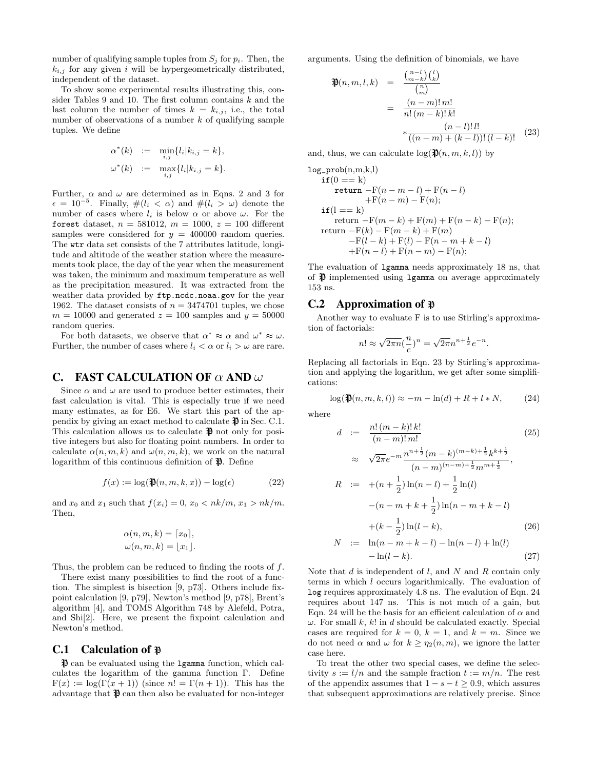number of qualifying sample tuples from  $S_i$  for  $p_i$ . Then, the  $k_{i,j}$  for any given i will be hypergeometrically distributed, independent of the dataset.

To show some experimental results illustrating this, consider Tables 9 and 10. The first column contains  $k$  and the last column the number of times  $k = k_{i,j}$ , i.e., the total number of observations of a number  $k$  of qualifying sample tuples. We define

$$
\alpha^*(k) := \min_{i,j} \{ l_i | k_{i,j} = k \}, \n\omega^*(k) := \max_{i,j} \{ l_i | k_{i,j} = k \}.
$$

Further,  $\alpha$  and  $\omega$  are determined as in Eqns. 2 and 3 for  $\epsilon = 10^{-5}$ . Finally,  $\#(l_i < \alpha)$  and  $\#(l_i > \omega)$  denote the number of cases where  $l_i$  is below  $\alpha$  or above  $\omega$ . For the forest dataset,  $n = 581012$ ,  $m = 1000$ ,  $z = 100$  different samples were considered for  $y = 400000$  random queries. The wtr data set consists of the 7 attributes latitude, longitude and altitude of the weather station where the measurements took place, the day of the year when the measurement was taken, the minimum and maximum temperature as well as the precipitation measured. It was extracted from the weather data provided by ftp.ncdc.noaa.gov for the year 1962. The dataset consists of  $n = 3474701$  tuples, we chose  $m = 10000$  and generated  $z = 100$  samples and  $y = 50000$ random queries.

For both datasets, we observe that  $\alpha^* \approx \alpha$  and  $\omega^* \approx \omega$ . Further, the number of cases where  $l_i < \alpha$  or  $l_i > \omega$  are rare.

#### C. FAST CALCULATION OF  $\alpha$  AND  $\omega$

Since  $\alpha$  and  $\omega$  are used to produce better estimates, their fast calculation is vital. This is especially true if we need many estimates, as for E6. We start this part of the appendix by giving an exact method to calculate  $\mathfrak{P}$  in Sec. C.1. This calculation allows us to calculate  $\mathcal{R}$  not only for positive integers but also for floating point numbers. In order to calculate  $\alpha(n, m, k)$  and  $\omega(n, m, k)$ , we work on the natural logarithm of this continuous definition of  $\mathfrak{P}$ . Define

$$
f(x) := \log(\mathfrak{P}(n, m, k, x)) - \log(\epsilon)
$$
 (22)

and  $x_0$  and  $x_1$  such that  $f(x_i) = 0, x_0 < nk/m, x_1 > nk/m$ . Then,

$$
\alpha(n, m, k) = \lceil x_0 \rceil,
$$
  

$$
\omega(n, m, k) = \lfloor x_1 \rfloor.
$$

Thus, the problem can be reduced to finding the roots of f.

There exist many possibilities to find the root of a function. The simplest is bisection [9, p73]. Others include fixpoint calculation [9, p79], Newton's method [9, p78], Brent's algorithm [4], and TOMS Algorithm 748 by Alefeld, Potra, and Shi[2]. Here, we present the fixpoint calculation and Newton's method.

#### C.1 Calculation of  $\mathbb P$

 $\mathcal{P}$  can be evaluated using the 1 gamma function, which calculates the logarithm of the gamma function Γ. Define  $F(x) := \log(\Gamma(x+1))$  (since  $n! = \Gamma(n+1)$ ). This has the advantage that  $\mathfrak{P}$  can then also be evaluated for non-integer

arguments. Using the definition of binomials, we have

$$
\mathfrak{P}(n, m, l, k) = \frac{\binom{n-l}{m-k} \binom{l}{k}}{\binom{m}{m}}
$$

$$
= \frac{(n-m)! \, m!}{n! \, (m-k)! \, k!}
$$

$$
* \frac{(n-l)! \, l!}{((n-m)+(k-l))! \, (l-k)!} \quad (23)
$$

and, thus, we can calculate  $\log(\mathfrak{P}(n, m, k, l))$  by

$$
log\_prob(n,m,k,l)\nif (0 == k)\nreturn -F(n-m-l) + F(n-l)\n+F(n-m) - F(n);\nif (l == k)\nreturn -F(m-k) + F(m) + F(n-k) - F(n);\nreturn -F(k) - F(m-k) + F(m)\n-F(l-k) + F(l) - F(n-m+k-l)\n+F(n-l) + F(n-m) - F(n);
$$

The evaluation of lgamma needs approximately 18 ns, that of  $\mathcal{P}$  implemented using 1 gamma on average approximately 153 ns.

### C.2 Approximation of  $\mathfrak{p}$

Another way to evaluate F is to use Stirling's approximation of factorials:

$$
n! \approx \sqrt{2\pi n} \left(\frac{n}{e}\right)^n = \sqrt{2\pi} n^{n + \frac{1}{2}} e^{-n}.
$$

Replacing all factorials in Eqn. 23 by Stirling's approximation and applying the logarithm, we get after some simplifications:

$$
\log(\mathfrak{P}(n,m,k,l)) \approx -m - \ln(d) + R + l*N,
$$
 (24)

where

$$
d := \frac{n! (m-k)! k!}{(n-m)! m!} \tag{25}
$$
  
\n
$$
\approx \sqrt{2\pi} e^{-m} \frac{n^{n+\frac{1}{2}} (m-k)^{(m-k)+\frac{1}{2}} k^{k+\frac{1}{2}}}{(n-m)^{(n-m)+\frac{1}{2}} m^{m+\frac{1}{2}}},
$$
  
\n
$$
R := +(n+\frac{1}{2}) \ln(n-l) + \frac{1}{2} \ln(l)
$$
  
\n
$$
-(n-m+k+\frac{1}{2}) \ln(n-m+k-l)
$$
  
\n
$$
+(k-\frac{1}{2}) \ln(l-k), \tag{26}
$$

$$
N := \ln(n - m + k - l) - \ln(n - l) + \ln(l)
$$
  
-  $\ln(l - k).$  (27)

Note that  $d$  is independent of  $l$ , and  $N$  and  $R$  contain only terms in which l occurs logarithmically. The evaluation of log requires approximately 4.8 ns. The evalution of Eqn. 24 requires about 147 ns. This is not much of a gain, but Eqn. 24 will be the basis for an efficient calculation of  $\alpha$  and  $\omega$ . For small k, k! in d should be calculated exactly. Special cases are required for  $k = 0, k = 1$ , and  $k = m$ . Since we do not need  $\alpha$  and  $\omega$  for  $k \geq \eta_2(n,m)$ , we ignore the latter case here.

To treat the other two special cases, we define the selectivity  $s := l/n$  and the sample fraction  $t := m/n$ . The rest of the appendix assumes that  $1 - s - t \geq 0.9$ , which assures that subsequent approximations are relatively precise. Since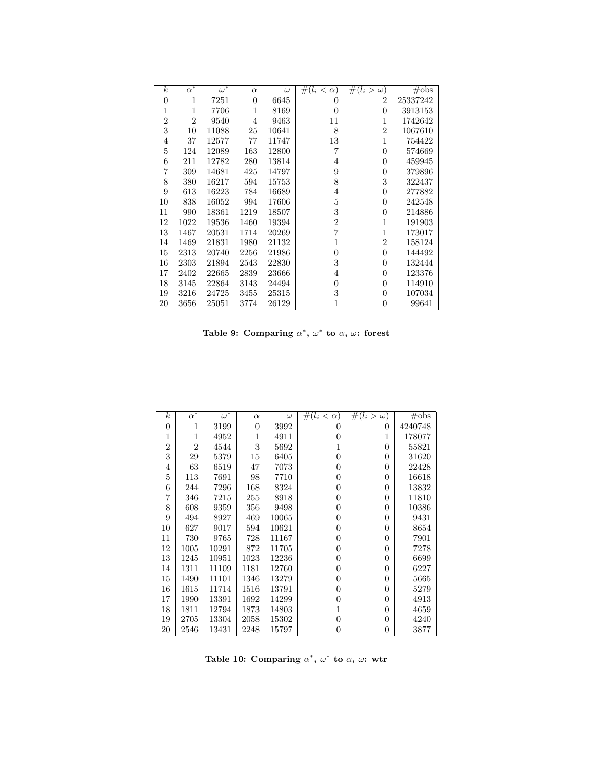| $\boldsymbol{k}$ | $\bar{\alpha^*}$ | $\overline{\omega^*}$ | $\alpha$       | $\omega$ | $\#(l_i < \alpha)$ | $\#(l_i > \omega)$ | $\#obs$  |
|------------------|------------------|-----------------------|----------------|----------|--------------------|--------------------|----------|
| $\theta$         | 1                | 7251                  | $\overline{0}$ | 6645     | 0                  | $\overline{2}$     | 25337242 |
| 1                | $\mathbf{1}$     | 7706                  | 1              | 8169     | $\overline{0}$     | $\theta$           | 3913153  |
| $\overline{2}$   | $\overline{2}$   | 9540                  | 4              | 9463     | 11                 | 1                  | 1742642  |
| 3                | 10               | 11088                 | 25             | 10641    | 8                  | $\overline{2}$     | 1067610  |
| 4                | 37               | 12577                 | 77             | 11747    | 13                 | 1                  | 754422   |
| 5                | 124              | 12089                 | 163            | 12800    | 7                  | $\theta$           | 574669   |
| 6                | 211              | 12782                 | 280            | 13814    | 4                  | $\Omega$           | 459945   |
| $\overline{7}$   | 309              | 14681                 | 425            | 14797    | 9                  | $\Omega$           | 379896   |
| 8                | 380              | 16217                 | 594            | 15753    | 8                  | 3                  | 322437   |
| 9                | 613              | 16223                 | 784            | 16689    | $\overline{4}$     | $\theta$           | 277882   |
| 10               | 838              | 16052                 | 994            | 17606    | 5                  | $\Omega$           | 242548   |
| 11               | 990              | 18361                 | 1219           | 18507    | 3                  | $\Omega$           | 214886   |
| 12               | 1022             | 19536                 | 1460           | 19394    | $\overline{2}$     | 1                  | 191903   |
| 13               | 1467             | 20531                 | 1714           | 20269    | $\overline{7}$     | 1                  | 173017   |
| 14               | 1469             | 21831                 | 1980           | 21132    | 1                  | $\overline{2}$     | 158124   |
| 15               | 2313             | 20740                 | 2256           | 21986    | $\boldsymbol{0}$   | $\theta$           | 144492   |
| 16               | 2303             | 21894                 | 2543           | 22830    | 3                  | $\theta$           | 132444   |
| 17               | 2402             | 22665                 | 2839           | 23666    | 4                  | $\Omega$           | 123376   |
| 18               | 3145             | 22864                 | 3143           | 24494    | $\boldsymbol{0}$   | $\Omega$           | 114910   |
| 19               | 3216             | 24725                 | 3455           | 25315    | 3                  | $\theta$           | 107034   |
| 20               | 3656             | 25051                 | 3774           | 26129    | 1                  | $\theta$           | 99641    |

Table 9: Comparing  $\alpha^*$ ,  $\omega^*$  to  $\alpha$ ,  $\omega$ : forest

| $\boldsymbol{k}$ | $\alpha^*$     | $\omega^*$ | $\alpha$ | $\omega$ | $\#(l_i < \alpha)$ | $\#(l_i > \omega)$ | $\#$ obs |
|------------------|----------------|------------|----------|----------|--------------------|--------------------|----------|
| $\theta$         | 1              | 3199       | $\theta$ | 3992     | 0                  | 0                  | 4240748  |
| 1                | 1              | 4952       | 1        | 4911     | 0                  | 1                  | 178077   |
| $\overline{2}$   | $\overline{2}$ | 4544       | 3        | 5692     | 1                  | 0                  | 55821    |
| 3                | 29             | 5379       | 15       | 6405     | 0                  | 0                  | 31620    |
| 4                | 63             | 6519       | 47       | 7073     | 0                  | 0                  | 22428    |
| 5                | 113            | 7691       | 98       | 7710     | 0                  | 0                  | 16618    |
| 6                | 244            | 7296       | 168      | 8324     | 0                  | 0                  | 13832    |
| 7                | 346            | 7215       | 255      | 8918     | 0                  | 0                  | 11810    |
| 8                | 608            | 9359       | 356      | 9498     | 0                  | 0                  | 10386    |
| 9                | 494            | 8927       | 469      | 10065    | 0                  | 0                  | 9431     |
| 10               | 627            | 9017       | 594      | 10621    | 0                  | 0                  | 8654     |
| 11               | 730            | 9765       | 728      | 11167    | 0                  | 0                  | 7901     |
| 12               | 1005           | 10291      | 872      | 11705    | $^{(1)}$           | 0                  | 7278     |
| 13               | 1245           | 10951      | 1023     | 12236    | 0                  | 0                  | 6699     |
| 14               | 1311           | 11109      | 1181     | 12760    | 0                  | 0                  | 6227     |
| 15               | 1490           | 11101      | 1346     | 13279    | 0                  | $\overline{0}$     | 5665     |
| 16               | 1615           | 11714      | 1516     | 13791    | 0                  | 0                  | 5279     |
| 17               | 1990           | 13391      | 1692     | 14299    | 0                  | 0                  | 4913     |
| 18               | 1811           | 12794      | 1873     | 14803    | 1                  | 0                  | 4659     |
| 19               | 2705           | 13304      | 2058     | 15302    | 0                  | 0                  | 4240     |
| 20               | 2546           | 13431      | 2248     | 15797    | 0                  | 0                  | 3877     |

Table 10: Comparing  $\alpha^*$ ,  $\omega^*$  to  $\alpha$ ,  $\omega$ : wtr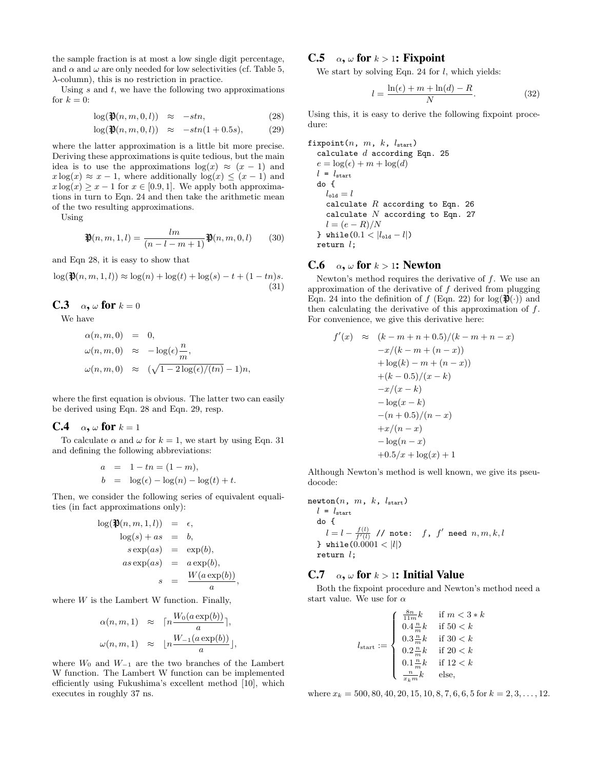the sample fraction is at most a low single digit percentage, and  $\alpha$  and  $\omega$  are only needed for low selectivities (cf. Table 5,  $\lambda$ -column), this is no restriction in practice.

Using  $s$  and  $t$ , we have the following two approximations for  $k = 0$ :

$$
\log(\mathfrak{P}(n,m,0,l)) \approx -stn, \tag{28}
$$

$$
\log(\mathfrak{P}(n,m,0,l)) \approx -stn(1+0.5s), \tag{29}
$$

where the latter approximation is a little bit more precise. Deriving these approximations is quite tedious, but the main idea is to use the approximations  $log(x) \approx (x - 1)$  and  $x \log(x) \approx x - 1$ , where additionally  $\log(x) \leq (x - 1)$  and  $x \log(x) \geq x - 1$  for  $x \in [0.9, 1]$ . We apply both approximations in turn to Eqn. 24 and then take the arithmetic mean of the two resulting approximations.

Using

$$
\mathfrak{P}(n,m,1,l) = \frac{lm}{(n-l-m+1)} \mathfrak{P}(n,m,0,l) \qquad (30)
$$

and Eqn 28, it is easy to show that

 $\log(\mathfrak{P}(n, m, 1, l)) \approx \log(n) + \log(t) + \log(s) - t + (1 - tn)s.$ (31)

**C.3**  $\alpha$ ,  $\omega$  for  $k = 0$ 

We have

$$
\alpha(n, m, 0) = 0,
$$
  
\n
$$
\omega(n, m, 0) \approx -\log(\epsilon) \frac{n}{m},
$$
  
\n
$$
\omega(n, m, 0) \approx (\sqrt{1 - 2\log(\epsilon)/(tn)} - 1)n,
$$

where the first equation is obvious. The latter two can easily be derived using Eqn. 28 and Eqn. 29, resp.

#### **C.4**  $\alpha$ ,  $\omega$  for  $k = 1$

To calculate  $\alpha$  and  $\omega$  for  $k = 1$ , we start by using Eqn. 31 and defining the following abbreviations:

a = 1 - tn = (1 - m),  
b = log(
$$
\epsilon
$$
) - log( $n$ ) - log( $t$ ) + t.

Then, we consider the following series of equivalent equalities (in fact approximations only):

$$
\log(\mathfrak{P}(n, m, 1, l)) = \epsilon,
$$
  
\n
$$
\log(s) + as = b,
$$
  
\n
$$
s \exp(as) = \exp(b),
$$
  
\n
$$
as \exp(as) = a \exp(b),
$$
  
\n
$$
s = \frac{W(a \exp(b))}{a},
$$

where  $W$  is the Lambert W function. Finally,

$$
\alpha(n, m, 1) \approx \left\lceil n \frac{W_0(a \exp(b))}{a} \right\rceil,
$$
  

$$
\omega(n, m, 1) \approx \left\lfloor n \frac{W_{-1}(a \exp(b))}{a} \right\rfloor,
$$

where  $W_0$  and  $W_{-1}$  are the two branches of the Lambert W function. The Lambert W function can be implemented efficiently using Fukushima's excellent method [10], which executes in roughly 37 ns.

# C.5  $\alpha$ ,  $\omega$  for  $k > 1$ : Fixpoint

We start by solving Eqn. 24 for  $l$ , which yields:

$$
l = \frac{\ln(\epsilon) + m + \ln(d) - R}{N}.
$$
 (32)

Using this, it is easy to derive the following fixpoint procedure:

fixpoint(n, m, k,  $l_{start}$ ) calculate  $d$  according Eqn. 25  $e = \log(\epsilon) + m + \log(d)$  $l = l_{\text{start}}$ do {  $l_{\text{old}} = l$ calculate  $R$  according to Eqn. 26 calculate  $N$  according to Eqn. 27  $l = (e - R)/N$ } while( $0.1 < |l_{\text{old}} - l|$ ) return  $l$ ;

### C.6  $\alpha$ ,  $\omega$  for  $k > 1$ : Newton

Newton's method requires the derivative of  $f$ . We use an approximation of the derivative of  $f$  derived from plugging Eqn. 24 into the definition of f (Eqn. 22) for  $log(\mathfrak{P}(\cdot))$  and then calculating the derivative of this approximation of f. For convenience, we give this derivative here:

$$
f'(x) \approx (k - m + n + 0.5)/(k - m + n - x)
$$
  
\n
$$
-x/(k - m + (n - x))
$$
  
\n
$$
+ \log(k) - m + (n - x))
$$
  
\n
$$
+ (k - 0.5)/(x - k)
$$
  
\n
$$
-x/(x - k)
$$
  
\n
$$
- \log(x - k)
$$
  
\n
$$
- (n + 0.5)/(n - x)
$$
  
\n
$$
+x/(n - x)
$$
  
\n
$$
- \log(n - x)
$$
  
\n
$$
+0.5/x + \log(x) + 1
$$

Although Newton's method is well known, we give its pseudocode:

$$
\begin{array}{ll}\text{newton}(n, m, k, l_\text{start})\\ & l = l_\text{start} \\ & \text{do} \left\{ \begin{array}{ll} & l = l - \frac{f(l)}{f'(l)} \end{array} \right\} / \text{ note:} & f, f' \text{ need } n, m, k, l \\ & \text{b while} (0.0001 < |l|) \\ & \text{return } l \text{;} \end{array}
$$

# C.7  $\alpha$ ,  $\omega$  for  $k > 1$ : Initial Value

Both the fixpoint procedure and Newton's method need a start value. We use for  $\alpha$ 

$$
l_{\text{start}} := \left\{ \begin{array}{ll} \frac{8n}{11m}k & \text{if } m < 3*k \\ 0.4 \frac{n}{m}k & \text{if } 50 < k \\ 0.3 \frac{n}{m}k & \text{if } 30 < k \\ 0.2 \frac{n}{m}k & \text{if } 20 < k \\ 0.1 \frac{n}{m}k & \text{if } 12 < k \\ \frac{n}{x_km}k & \text{else,} \end{array} \right.
$$

where  $x_k = 500, 80, 40, 20, 15, 10, 8, 7, 6, 6, 5$  for  $k = 2, 3, ..., 12$ .